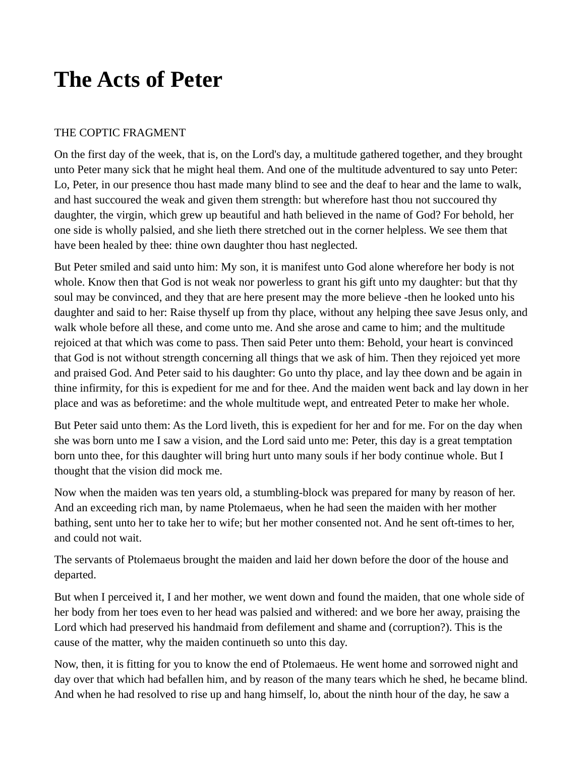# The Acts of Peter

# THE COPTIC FRAGMENT

On the first day of the week, that is, on the Lord's day, a multitude gathered together, and they brought unto Peter many sick that he might heal them. And one of the multitude adventured to say unto Peter: Lo, Peter, in our presence thou hast made many blind to see and the deaf to hear and the lame to walk, and hast succoured the weak and given them strength: but wherefore hast thou not succoured thy daughter, the virgin, which grew up beautiful and hath believed in the name of God? For behold, her one side is wholly palsied, and she lieth there stretched out in the corner helpless. We see them that have been healed by thee: thine own daughter thou hast neglected.

But Peter smiled and said unto him: My son, it is manifest unto God alone wherefore her body is not whole. Know then that God is not weak nor powerless to grant his gift unto my daughter: but that thy soul may be convinced, and they that are here present may the more believe -then he looked unto his daughter and said to her: Raise thyself up from thy place, without any helping thee save Jesus only, and walk whole before all these, and come unto me. And she arose and came to him; and the multitude rejoiced at that which was come to pass. Then said Peter unto them: Behold, your heart is convinced that God is not without strength concerning all things that we ask of him. Then they rejoiced yet more and praised God. And Peter said to his daughter: Go unto thy place, and lay thee down and be again in thine infirmity, for this is expedient for me and for thee. And the maiden went back and lay down in her place and was as beforetime: and the whole multitude wept, and entreated Peter to make her whole.

But Peter said unto them: As the Lord liveth, this is expedient for her and for me. For on the day when she was born unto me I saw a vision, and the Lord said unto me: Peter, this day is a great temptation born unto thee, for this daughter will bring hurt unto many souls if her body continue whole. But I thought that the vision did mock me.

Now when the maiden was ten years old, a stumbling-block was prepared for many by reason of her. And an exceeding rich man, by name Ptolemaeus, when he had seen the maiden with her mother bathing, sent unto her to take her to wife; but her mother consented not. And he sent oft-times to her, and could not wait.

The servants of Ptolemaeus brought the maiden and laid her down before the door of the house and departed.

But when I perceived it, I and her mother, we went down and found the maiden, that one whole side of her body from her toes even to her head was palsied and withered: and we bore her away, praising the Lord which had preserved his handmaid from defilement and shame and (corruption?). This is the cause of the matter, why the maiden continueth so unto this day.

Now, then, it is fitting for you to know the end of Ptolemaeus. He went home and sorrowed night and day over that which had befallen him, and by reason of the many tears which he shed, he became blind. And when he had resolved to rise up and hang himself, lo, about the ninth hour of the day, he saw a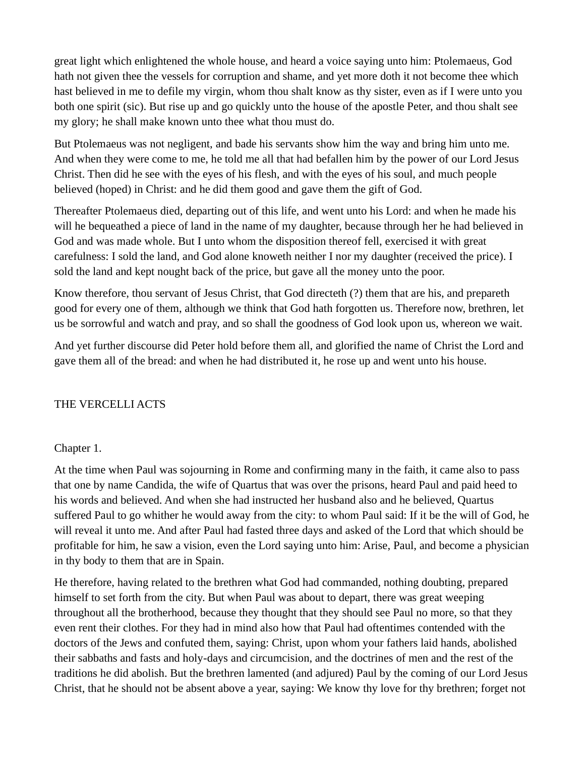great light which enlightened the whole house, and heard a voice saying unto him: Ptolemaeus, God hath not given thee the vessels for corruption and shame, and yet more doth it not become thee which hast believed in me to defile my virgin, whom thou shalt know as thy sister, even as if I were unto you both one spirit (sic). But rise up and go quickly unto the house of the apostle Peter, and thou shalt see my glory; he shall make known unto thee what thou must do.

But Ptolemaeus was not negligent, and bade his servants show him the way and bring him unto me. And when they were come to me, he told me all that had befallen him by the power of our Lord Jesus Christ. Then did he see with the eyes of his flesh, and with the eyes of his soul, and much people believed (hoped) in Christ: and he did them good and gave them the gift of God.

Thereafter Ptolemaeus died, departing out of this life, and went unto his Lord: and when he made his will he bequeathed a piece of land in the name of my daughter, because through her he had believed in God and was made whole. But I unto whom the disposition thereof fell, exercised it with great carefulness: I sold the land, and God alone knoweth neither I nor my daughter (received the price). I sold the land and kept nought back of the price, but gave all the money unto the poor.

Know therefore, thou servant of Jesus Christ, that God directeth (?) them that are his, and prepareth good for every one of them, although we think that God hath forgotten us. Therefore now, brethren, let us be sorrowful and watch and pray, and so shall the goodness of God look upon us, whereon we wait.

And yet further discourse did Peter hold before them all, and glorified the name of Christ the Lord and gave them all of the bread: and when he had distributed it, he rose up and went unto his house.

# THE VERCELLI ACTS

## Chapter 1.

At the time when Paul was sojourning in Rome and confirming many in the faith, it came also to pass that one by name Candida, the wife of Quartus that was over the prisons, heard Paul and paid heed to his words and believed. And when she had instructed her husband also and he believed, Quartus suffered Paul to go whither he would away from the city: to whom Paul said: If it be the will of God, he will reveal it unto me. And after Paul had fasted three days and asked of the Lord that which should be profitable for him, he saw a vision, even the Lord saying unto him: Arise, Paul, and become a physician in thy body to them that are in Spain.

He therefore, having related to the brethren what God had commanded, nothing doubting, prepared himself to set forth from the city. But when Paul was about to depart, there was great weeping throughout all the brotherhood, because they thought that they should see Paul no more, so that they even rent their clothes. For they had in mind also how that Paul had oftentimes contended with the doctors of the Jews and confuted them, saying: Christ, upon whom your fathers laid hands, abolished their sabbaths and fasts and holy-days and circumcision, and the doctrines of men and the rest of the traditions he did abolish. But the brethren lamented (and adjured) Paul by the coming of our Lord Jesus Christ, that he should not be absent above a year, saying: We know thy love for thy brethren; forget not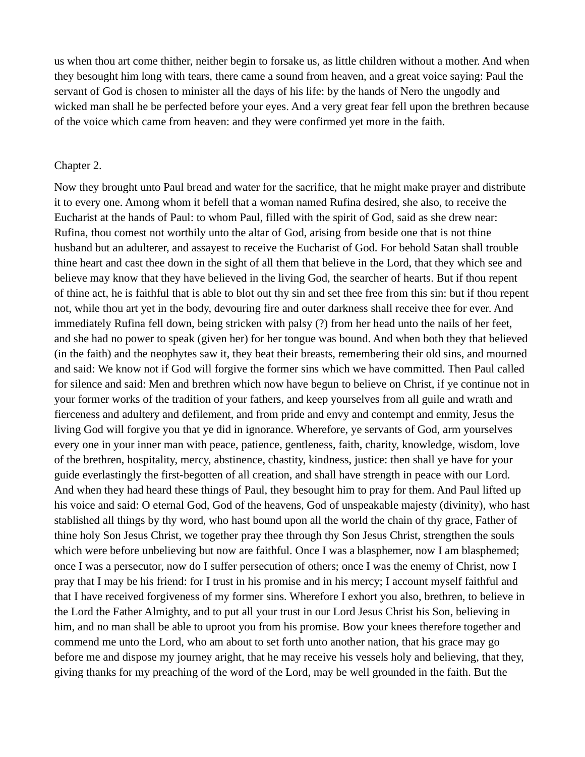us when thou art come thither, neither begin to forsake us, as little children without a mother. And when they besought him long with tears, there came a sound from heaven, and a great voice saying: Paul the servant of God is chosen to minister all the days of his life: by the hands of Nero the ungodly and wicked man shall he be perfected before your eyes. And a very great fear fell upon the brethren because of the voice which came from heaven: and they were confirmed yet more in the faith.

#### Chapter 2.

Now they brought unto Paul bread and water for the sacrifice, that he might make prayer and distribute it to every one. Among whom it befell that a woman named Rufina desired, she also, to receive the Eucharist at the hands of Paul: to whom Paul, filled with the spirit of God, said as she drew near: Rufina, thou comest not worthily unto the altar of God, arising from beside one that is not thine husband but an adulterer, and assayest to receive the Eucharist of God. For behold Satan shall trouble thine heart and cast thee down in the sight of all them that believe in the Lord, that they which see and believe may know that they have believed in the living God, the searcher of hearts. But if thou repent of thine act, he is faithful that is able to blot out thy sin and set thee free from this sin: but if thou repent not, while thou art yet in the body, devouring fire and outer darkness shall receive thee for ever. And immediately Rufina fell down, being stricken with palsy (?) from her head unto the nails of her feet, and she had no power to speak (given her) for her tongue was bound. And when both they that believed (in the faith) and the neophytes saw it, they beat their breasts, remembering their old sins, and mourned and said: We know not if God will forgive the former sins which we have committed. Then Paul called for silence and said: Men and brethren which now have begun to believe on Christ, if ye continue not in your former works of the tradition of your fathers, and keep yourselves from all guile and wrath and fierceness and adultery and defilement, and from pride and envy and contempt and enmity, Jesus the living God will forgive you that ye did in ignorance. Wherefore, ye servants of God, arm yourselves every one in your inner man with peace, patience, gentleness, faith, charity, knowledge, wisdom, love of the brethren, hospitality, mercy, abstinence, chastity, kindness, justice: then shall ye have for your guide everlastingly the first-begotten of all creation, and shall have strength in peace with our Lord. And when they had heard these things of Paul, they besought him to pray for them. And Paul lifted up his voice and said: O eternal God, God of the heavens, God of unspeakable majesty (divinity), who hast stablished all things by thy word, who hast bound upon all the world the chain of thy grace, Father of thine holy Son Jesus Christ, we together pray thee through thy Son Jesus Christ, strengthen the souls which were before unbelieving but now are faithful. Once I was a blasphemer, now I am blasphemed; once I was a persecutor, now do I suffer persecution of others; once I was the enemy of Christ, now I pray that I may be his friend: for I trust in his promise and in his mercy; I account myself faithful and that I have received forgiveness of my former sins. Wherefore I exhort you also, brethren, to believe in the Lord the Father Almighty, and to put all your trust in our Lord Jesus Christ his Son, believing in him, and no man shall be able to uproot you from his promise. Bow your knees therefore together and commend me unto the Lord, who am about to set forth unto another nation, that his grace may go before me and dispose my journey aright, that he may receive his vessels holy and believing, that they, giving thanks for my preaching of the word of the Lord, may be well grounded in the faith. But the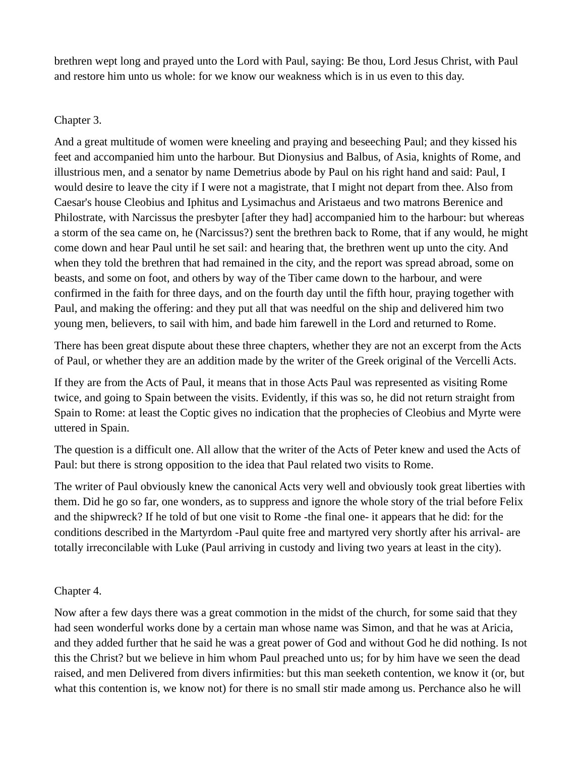brethren wept long and prayed unto the Lord with Paul, saying: Be thou, Lord Jesus Christ, with Paul and restore him unto us whole: for we know our weakness which is in us even to this day.

# Chapter 3.

And a great multitude of women were kneeling and praying and beseeching Paul; and they kissed his feet and accompanied him unto the harbour. But Dionysius and Balbus, of Asia, knights of Rome, and illustrious men, and a senator by name Demetrius abode by Paul on his right hand and said: Paul, I would desire to leave the city if I were not a magistrate, that I might not depart from thee. Also from Caesar's house Cleobius and Iphitus and Lysimachus and Aristaeus and two matrons Berenice and Philostrate, with Narcissus the presbyter [after they had] accompanied him to the harbour: but whereas a storm of the sea came on, he (Narcissus?) sent the brethren back to Rome, that if any would, he might come down and hear Paul until he set sail: and hearing that, the brethren went up unto the city. And when they told the brethren that had remained in the city, and the report was spread abroad, some on beasts, and some on foot, and others by way of the Tiber came down to the harbour, and were confirmed in the faith for three days, and on the fourth day until the fifth hour, praying together with Paul, and making the offering: and they put all that was needful on the ship and delivered him two young men, believers, to sail with him, and bade him farewell in the Lord and returned to Rome.

There has been great dispute about these three chapters, whether they are not an excerpt from the Acts of Paul, or whether they are an addition made by the writer of the Greek original of the Vercelli Acts.

If they are from the Acts of Paul, it means that in those Acts Paul was represented as visiting Rome twice, and going to Spain between the visits. Evidently, if this was so, he did not return straight from Spain to Rome: at least the Coptic gives no indication that the prophecies of Cleobius and Myrte were uttered in Spain.

The question is a difficult one. All allow that the writer of the Acts of Peter knew and used the Acts of Paul: but there is strong opposition to the idea that Paul related two visits to Rome.

The writer of Paul obviously knew the canonical Acts very well and obviously took great liberties with them. Did he go so far, one wonders, as to suppress and ignore the whole story of the trial before Felix and the shipwreck? If he told of but one visit to Rome -the final one- it appears that he did: for the conditions described in the Martyrdom -Paul quite free and martyred very shortly after his arrival- are totally irreconcilable with Luke (Paul arriving in custody and living two years at least in the city).

## Chapter 4.

Now after a few days there was a great commotion in the midst of the church, for some said that they had seen wonderful works done by a certain man whose name was Simon, and that he was at Aricia, and they added further that he said he was a great power of God and without God he did nothing. Is not this the Christ? but we believe in him whom Paul preached unto us; for by him have we seen the dead raised, and men Delivered from divers infirmities: but this man seeketh contention, we know it (or, but what this contention is, we know not) for there is no small stir made among us. Perchance also he will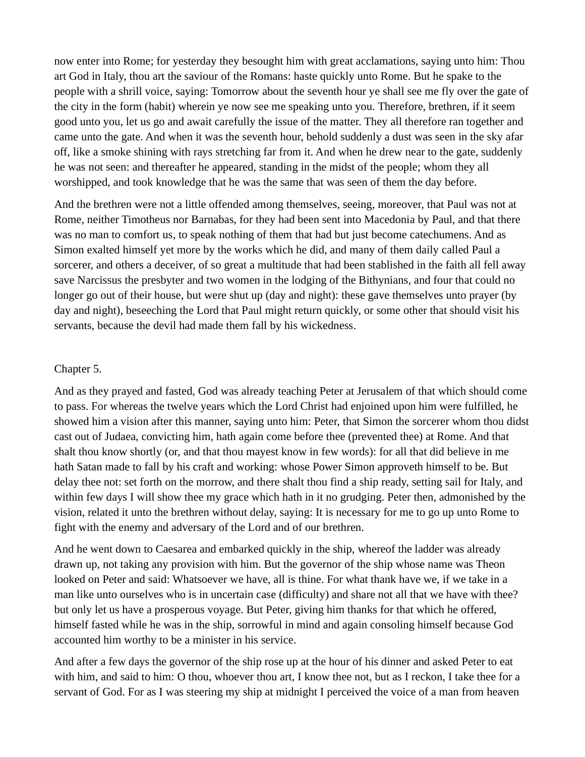now enter into Rome; for yesterday they besought him with great acclamations, saying unto him: Thou art God in Italy, thou art the saviour of the Romans: haste quickly unto Rome. But he spake to the people with a shrill voice, saying: Tomorrow about the seventh hour ye shall see me fly over the gate of the city in the form (habit) wherein ye now see me speaking unto you. Therefore, brethren, if it seem good unto you, let us go and await carefully the issue of the matter. They all therefore ran together and came unto the gate. And when it was the seventh hour, behold suddenly a dust was seen in the sky afar off, like a smoke shining with rays stretching far from it. And when he drew near to the gate, suddenly he was not seen: and thereafter he appeared, standing in the midst of the people; whom they all worshipped, and took knowledge that he was the same that was seen of them the day before.

And the brethren were not a little offended among themselves, seeing, moreover, that Paul was not at Rome, neither Timotheus nor Barnabas, for they had been sent into Macedonia by Paul, and that there was no man to comfort us, to speak nothing of them that had but just become catechumens. And as Simon exalted himself yet more by the works which he did, and many of them daily called Paul a sorcerer, and others a deceiver, of so great a multitude that had been stablished in the faith all fell away save Narcissus the presbyter and two women in the lodging of the Bithynians, and four that could no longer go out of their house, but were shut up (day and night): these gave themselves unto prayer (by day and night), beseeching the Lord that Paul might return quickly, or some other that should visit his servants, because the devil had made them fall by his wickedness.

## Chapter 5.

And as they prayed and fasted, God was already teaching Peter at Jerusalem of that which should come to pass. For whereas the twelve years which the Lord Christ had enjoined upon him were fulfilled, he showed him a vision after this manner, saying unto him: Peter, that Simon the sorcerer whom thou didst cast out of Judaea, convicting him, hath again come before thee (prevented thee) at Rome. And that shalt thou know shortly (or, and that thou mayest know in few words): for all that did believe in me hath Satan made to fall by his craft and working: whose Power Simon approveth himself to be. But delay thee not: set forth on the morrow, and there shalt thou find a ship ready, setting sail for Italy, and within few days I will show thee my grace which hath in it no grudging. Peter then, admonished by the vision, related it unto the brethren without delay, saying: It is necessary for me to go up unto Rome to fight with the enemy and adversary of the Lord and of our brethren.

And he went down to Caesarea and embarked quickly in the ship, whereof the ladder was already drawn up, not taking any provision with him. But the governor of the ship whose name was Theon looked on Peter and said: Whatsoever we have, all is thine. For what thank have we, if we take in a man like unto ourselves who is in uncertain case (difficulty) and share not all that we have with thee? but only let us have a prosperous voyage. But Peter, giving him thanks for that which he offered, himself fasted while he was in the ship, sorrowful in mind and again consoling himself because God accounted him worthy to be a minister in his service.

And after a few days the governor of the ship rose up at the hour of his dinner and asked Peter to eat with him, and said to him: O thou, whoever thou art, I know thee not, but as I reckon, I take thee for a servant of God. For as I was steering my ship at midnight I perceived the voice of a man from heaven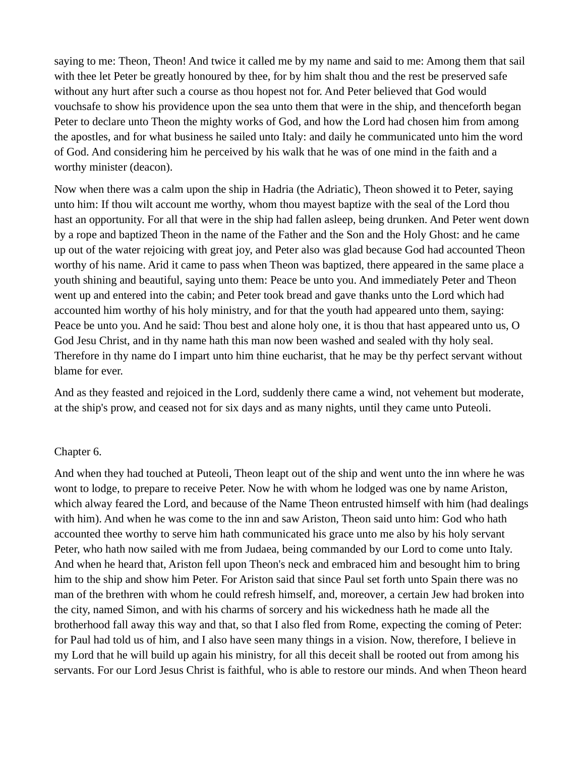saying to me: Theon, Theon! And twice it called me by my name and said to me: Among them that sail with thee let Peter be greatly honoured by thee, for by him shalt thou and the rest be preserved safe without any hurt after such a course as thou hopest not for. And Peter believed that God would vouchsafe to show his providence upon the sea unto them that were in the ship, and thenceforth began Peter to declare unto Theon the mighty works of God, and how the Lord had chosen him from among the apostles, and for what business he sailed unto Italy: and daily he communicated unto him the word of God. And considering him he perceived by his walk that he was of one mind in the faith and a worthy minister (deacon).

Now when there was a calm upon the ship in Hadria (the Adriatic), Theon showed it to Peter, saying unto him: If thou wilt account me worthy, whom thou mayest baptize with the seal of the Lord thou hast an opportunity. For all that were in the ship had fallen asleep, being drunken. And Peter went down by a rope and baptized Theon in the name of the Father and the Son and the Holy Ghost: and he came up out of the water rejoicing with great joy, and Peter also was glad because God had accounted Theon worthy of his name. Arid it came to pass when Theon was baptized, there appeared in the same place a youth shining and beautiful, saying unto them: Peace be unto you. And immediately Peter and Theon went up and entered into the cabin; and Peter took bread and gave thanks unto the Lord which had accounted him worthy of his holy ministry, and for that the youth had appeared unto them, saying: Peace be unto you. And he said: Thou best and alone holy one, it is thou that hast appeared unto us, O God Jesu Christ, and in thy name hath this man now been washed and sealed with thy holy seal. Therefore in thy name do I impart unto him thine eucharist, that he may be thy perfect servant without blame for ever.

And as they feasted and rejoiced in the Lord, suddenly there came a wind, not vehement but moderate, at the ship's prow, and ceased not for six days and as many nights, until they came unto Puteoli.

## Chapter 6.

And when they had touched at Puteoli, Theon leapt out of the ship and went unto the inn where he was wont to lodge, to prepare to receive Peter. Now he with whom he lodged was one by name Ariston, which alway feared the Lord, and because of the Name Theon entrusted himself with him (had dealings with him). And when he was come to the inn and saw Ariston, Theon said unto him: God who hath accounted thee worthy to serve him hath communicated his grace unto me also by his holy servant Peter, who hath now sailed with me from Judaea, being commanded by our Lord to come unto Italy. And when he heard that, Ariston fell upon Theon's neck and embraced him and besought him to bring him to the ship and show him Peter. For Ariston said that since Paul set forth unto Spain there was no man of the brethren with whom he could refresh himself, and, moreover, a certain Jew had broken into the city, named Simon, and with his charms of sorcery and his wickedness hath he made all the brotherhood fall away this way and that, so that I also fled from Rome, expecting the coming of Peter: for Paul had told us of him, and I also have seen many things in a vision. Now, therefore, I believe in my Lord that he will build up again his ministry, for all this deceit shall be rooted out from among his servants. For our Lord Jesus Christ is faithful, who is able to restore our minds. And when Theon heard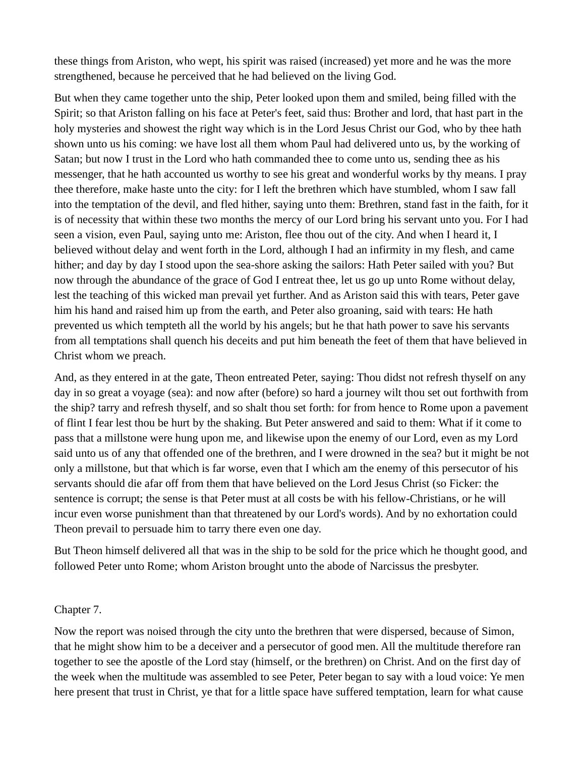these things from Ariston, who wept, his spirit was raised (increased) yet more and he was the more strengthened, because he perceived that he had believed on the living God.

But when they came together unto the ship, Peter looked upon them and smiled, being filled with the Spirit; so that Ariston falling on his face at Peter's feet, said thus: Brother and lord, that hast part in the holy mysteries and showest the right way which is in the Lord Jesus Christ our God, who by thee hath shown unto us his coming: we have lost all them whom Paul had delivered unto us, by the working of Satan; but now I trust in the Lord who hath commanded thee to come unto us, sending thee as his messenger, that he hath accounted us worthy to see his great and wonderful works by thy means. I pray thee therefore, make haste unto the city: for I left the brethren which have stumbled, whom I saw fall into the temptation of the devil, and fled hither, saying unto them: Brethren, stand fast in the faith, for it is of necessity that within these two months the mercy of our Lord bring his servant unto you. For I had seen a vision, even Paul, saying unto me: Ariston, flee thou out of the city. And when I heard it, I believed without delay and went forth in the Lord, although I had an infirmity in my flesh, and came hither; and day by day I stood upon the sea-shore asking the sailors: Hath Peter sailed with you? But now through the abundance of the grace of God I entreat thee, let us go up unto Rome without delay, lest the teaching of this wicked man prevail yet further. And as Ariston said this with tears, Peter gave him his hand and raised him up from the earth, and Peter also groaning, said with tears: He hath prevented us which tempteth all the world by his angels; but he that hath power to save his servants from all temptations shall quench his deceits and put him beneath the feet of them that have believed in Christ whom we preach.

And, as they entered in at the gate, Theon entreated Peter, saying: Thou didst not refresh thyself on any day in so great a voyage (sea): and now after (before) so hard a journey wilt thou set out forthwith from the ship? tarry and refresh thyself, and so shalt thou set forth: for from hence to Rome upon a pavement of flint I fear lest thou be hurt by the shaking. But Peter answered and said to them: What if it come to pass that a millstone were hung upon me, and likewise upon the enemy of our Lord, even as my Lord said unto us of any that offended one of the brethren, and I were drowned in the sea? but it might be not only a millstone, but that which is far worse, even that I which am the enemy of this persecutor of his servants should die afar off from them that have believed on the Lord Jesus Christ (so Ficker: the sentence is corrupt; the sense is that Peter must at all costs be with his fellow-Christians, or he will incur even worse punishment than that threatened by our Lord's words). And by no exhortation could Theon prevail to persuade him to tarry there even one day.

But Theon himself delivered all that was in the ship to be sold for the price which he thought good, and followed Peter unto Rome; whom Ariston brought unto the abode of Narcissus the presbyter.

## Chapter 7.

Now the report was noised through the city unto the brethren that were dispersed, because of Simon, that he might show him to be a deceiver and a persecutor of good men. All the multitude therefore ran together to see the apostle of the Lord stay (himself, or the brethren) on Christ. And on the first day of the week when the multitude was assembled to see Peter, Peter began to say with a loud voice: Ye men here present that trust in Christ, ye that for a little space have suffered temptation, learn for what cause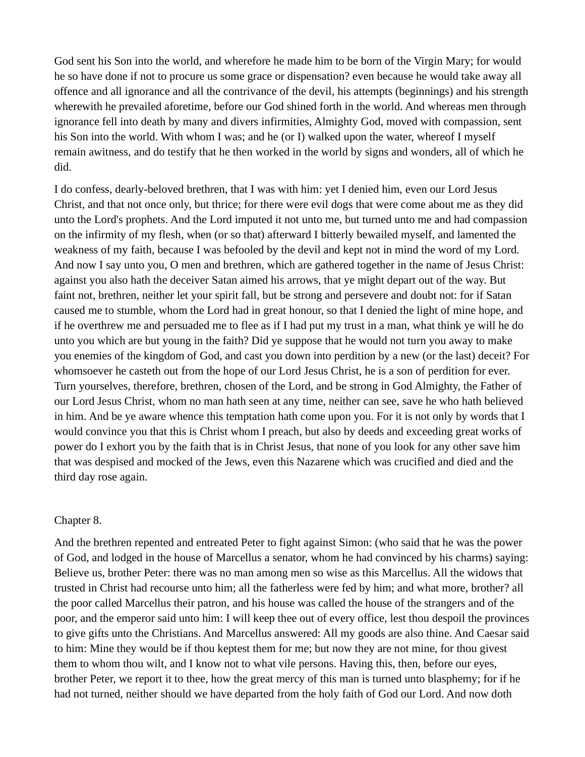God sent his Son into the world, and wherefore he made him to be born of the Virgin Mary; for would he so have done if not to procure us some grace or dispensation? even because he would take away all offence and all ignorance and all the contrivance of the devil, his attempts (beginnings) and his strength wherewith he prevailed aforetime, before our God shined forth in the world. And whereas men through ignorance fell into death by many and divers infirmities, Almighty God, moved with compassion, sent his Son into the world. With whom I was; and he (or I) walked upon the water, whereof I myself remain awitness, and do testify that he then worked in the world by signs and wonders, all of which he did.

I do confess, dearly-beloved brethren, that I was with him: yet I denied him, even our Lord Jesus Christ, and that not once only, but thrice; for there were evil dogs that were come about me as they did unto the Lord's prophets. And the Lord imputed it not unto me, but turned unto me and had compassion on the infirmity of my flesh, when (or so that) afterward I bitterly bewailed myself, and lamented the weakness of my faith, because I was befooled by the devil and kept not in mind the word of my Lord. And now I say unto you, O men and brethren, which are gathered together in the name of Jesus Christ: against you also hath the deceiver Satan aimed his arrows, that ye might depart out of the way. But faint not, brethren, neither let your spirit fall, but be strong and persevere and doubt not: for if Satan caused me to stumble, whom the Lord had in great honour, so that I denied the light of mine hope, and if he overthrew me and persuaded me to flee as if I had put my trust in a man, what think ye will he do unto you which are but young in the faith? Did ye suppose that he would not turn you away to make you enemies of the kingdom of God, and cast you down into perdition by a new (or the last) deceit? For whomsoever he casteth out from the hope of our Lord Jesus Christ, he is a son of perdition for ever. Turn yourselves, therefore, brethren, chosen of the Lord, and be strong in God Almighty, the Father of our Lord Jesus Christ, whom no man hath seen at any time, neither can see, save he who hath believed in him. And be ye aware whence this temptation hath come upon you. For it is not only by words that I would convince you that this is Christ whom I preach, but also by deeds and exceeding great works of power do I exhort you by the faith that is in Christ Jesus, that none of you look for any other save him that was despised and mocked of the Jews, even this Nazarene which was crucified and died and the third day rose again.

## Chapter 8.

And the brethren repented and entreated Peter to fight against Simon: (who said that he was the power of God, and lodged in the house of Marcellus a senator, whom he had convinced by his charms) saying: Believe us, brother Peter: there was no man among men so wise as this Marcellus. All the widows that trusted in Christ had recourse unto him; all the fatherless were fed by him; and what more, brother? all the poor called Marcellus their patron, and his house was called the house of the strangers and of the poor, and the emperor said unto him: I will keep thee out of every office, lest thou despoil the provinces to give gifts unto the Christians. And Marcellus answered: All my goods are also thine. And Caesar said to him: Mine they would be if thou keptest them for me; but now they are not mine, for thou givest them to whom thou wilt, and I know not to what vile persons. Having this, then, before our eyes, brother Peter, we report it to thee, how the great mercy of this man is turned unto blasphemy; for if he had not turned, neither should we have departed from the holy faith of God our Lord. And now doth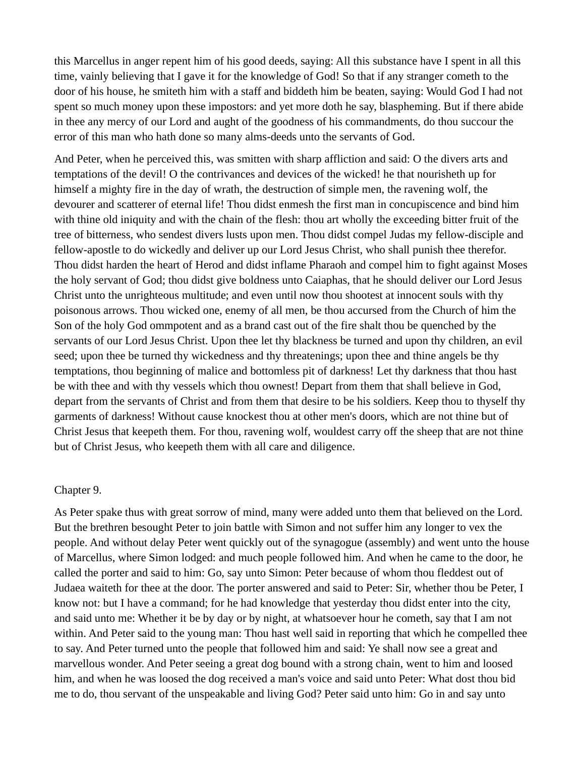this Marcellus in anger repent him of his good deeds, saying: All this substance have I spent in all this time, vainly believing that I gave it for the knowledge of God! So that if any stranger cometh to the door of his house, he smiteth him with a staff and biddeth him be beaten, saying: Would God I had not spent so much money upon these impostors: and yet more doth he say, blaspheming. But if there abide in thee any mercy of our Lord and aught of the goodness of his commandments, do thou succour the error of this man who hath done so many alms-deeds unto the servants of God.

And Peter, when he perceived this, was smitten with sharp affliction and said: O the divers arts and temptations of the devil! O the contrivances and devices of the wicked! he that nourisheth up for himself a mighty fire in the day of wrath, the destruction of simple men, the ravening wolf, the devourer and scatterer of eternal life! Thou didst enmesh the first man in concupiscence and bind him with thine old iniquity and with the chain of the flesh: thou art wholly the exceeding bitter fruit of the tree of bitterness, who sendest divers lusts upon men. Thou didst compel Judas my fellow-disciple and fellow-apostle to do wickedly and deliver up our Lord Jesus Christ, who shall punish thee therefor. Thou didst harden the heart of Herod and didst inflame Pharaoh and compel him to fight against Moses the holy servant of God; thou didst give boldness unto Caiaphas, that he should deliver our Lord Jesus Christ unto the unrighteous multitude; and even until now thou shootest at innocent souls with thy poisonous arrows. Thou wicked one, enemy of all men, be thou accursed from the Church of him the Son of the holy God ommpotent and as a brand cast out of the fire shalt thou be quenched by the servants of our Lord Jesus Christ. Upon thee let thy blackness be turned and upon thy children, an evil seed; upon thee be turned thy wickedness and thy threatenings; upon thee and thine angels be thy temptations, thou beginning of malice and bottomless pit of darkness! Let thy darkness that thou hast be with thee and with thy vessels which thou ownest! Depart from them that shall believe in God, depart from the servants of Christ and from them that desire to be his soldiers. Keep thou to thyself thy garments of darkness! Without cause knockest thou at other men's doors, which are not thine but of Christ Jesus that keepeth them. For thou, ravening wolf, wouldest carry off the sheep that are not thine but of Christ Jesus, who keepeth them with all care and diligence.

#### Chapter 9.

As Peter spake thus with great sorrow of mind, many were added unto them that believed on the Lord. But the brethren besought Peter to join battle with Simon and not suffer him any longer to vex the people. And without delay Peter went quickly out of the synagogue (assembly) and went unto the house of Marcellus, where Simon lodged: and much people followed him. And when he came to the door, he called the porter and said to him: Go, say unto Simon: Peter because of whom thou fleddest out of Judaea waiteth for thee at the door. The porter answered and said to Peter: Sir, whether thou be Peter, I know not: but I have a command; for he had knowledge that yesterday thou didst enter into the city, and said unto me: Whether it be by day or by night, at whatsoever hour he cometh, say that I am not within. And Peter said to the young man: Thou hast well said in reporting that which he compelled thee to say. And Peter turned unto the people that followed him and said: Ye shall now see a great and marvellous wonder. And Peter seeing a great dog bound with a strong chain, went to him and loosed him, and when he was loosed the dog received a man's voice and said unto Peter: What dost thou bid me to do, thou servant of the unspeakable and living God? Peter said unto him: Go in and say unto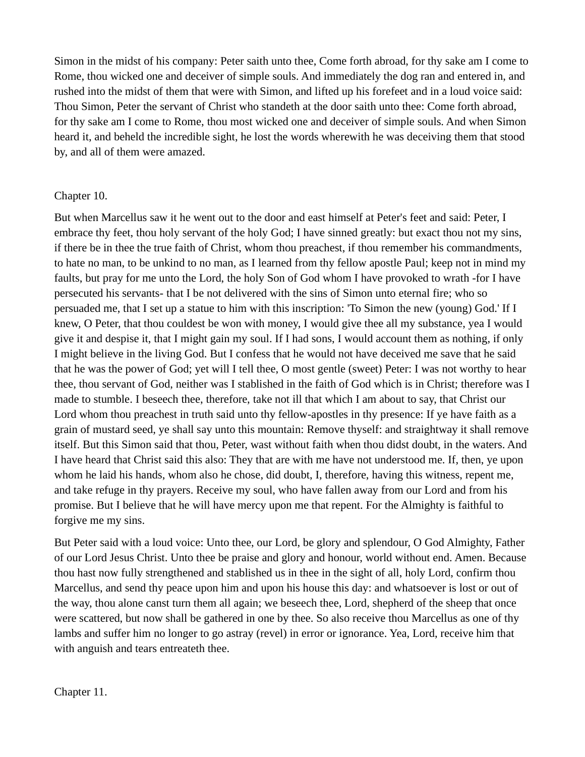Simon in the midst of his company: Peter saith unto thee, Come forth abroad, for thy sake am I come to Rome, thou wicked one and deceiver of simple souls. And immediately the dog ran and entered in, and rushed into the midst of them that were with Simon, and lifted up his forefeet and in a loud voice said: Thou Simon, Peter the servant of Christ who standeth at the door saith unto thee: Come forth abroad, for thy sake am I come to Rome, thou most wicked one and deceiver of simple souls. And when Simon heard it, and beheld the incredible sight, he lost the words wherewith he was deceiving them that stood by, and all of them were amazed.

## Chapter 10.

But when Marcellus saw it he went out to the door and east himself at Peter's feet and said: Peter, I embrace thy feet, thou holy servant of the holy God; I have sinned greatly: but exact thou not my sins, if there be in thee the true faith of Christ, whom thou preachest, if thou remember his commandments, to hate no man, to be unkind to no man, as I learned from thy fellow apostle Paul; keep not in mind my faults, but pray for me unto the Lord, the holy Son of God whom I have provoked to wrath -for I have persecuted his servants- that I be not delivered with the sins of Simon unto eternal fire; who so persuaded me, that I set up a statue to him with this inscription: 'To Simon the new (young) God.' If I knew, O Peter, that thou couldest be won with money, I would give thee all my substance, yea I would give it and despise it, that I might gain my soul. If I had sons, I would account them as nothing, if only I might believe in the living God. But I confess that he would not have deceived me save that he said that he was the power of God; yet will I tell thee, O most gentle (sweet) Peter: I was not worthy to hear thee, thou servant of God, neither was I stablished in the faith of God which is in Christ; therefore was I made to stumble. I beseech thee, therefore, take not ill that which I am about to say, that Christ our Lord whom thou preachest in truth said unto thy fellow-apostles in thy presence: If ye have faith as a grain of mustard seed, ye shall say unto this mountain: Remove thyself: and straightway it shall remove itself. But this Simon said that thou, Peter, wast without faith when thou didst doubt, in the waters. And I have heard that Christ said this also: They that are with me have not understood me. If, then, ye upon whom he laid his hands, whom also he chose, did doubt, I, therefore, having this witness, repent me, and take refuge in thy prayers. Receive my soul, who have fallen away from our Lord and from his promise. But I believe that he will have mercy upon me that repent. For the Almighty is faithful to forgive me my sins.

But Peter said with a loud voice: Unto thee, our Lord, be glory and splendour, O God Almighty, Father of our Lord Jesus Christ. Unto thee be praise and glory and honour, world without end. Amen. Because thou hast now fully strengthened and stablished us in thee in the sight of all, holy Lord, confirm thou Marcellus, and send thy peace upon him and upon his house this day: and whatsoever is lost or out of the way, thou alone canst turn them all again; we beseech thee, Lord, shepherd of the sheep that once were scattered, but now shall be gathered in one by thee. So also receive thou Marcellus as one of thy lambs and suffer him no longer to go astray (revel) in error or ignorance. Yea, Lord, receive him that with anguish and tears entreateth thee.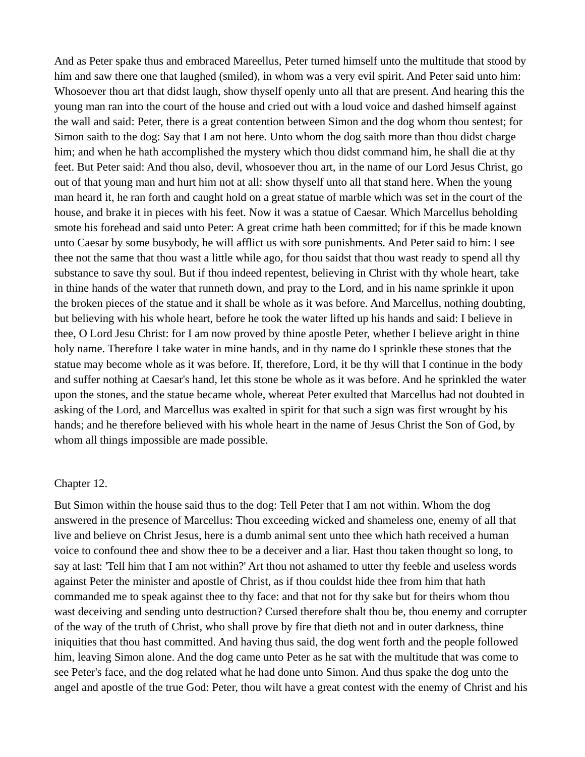And as Peter spake thus and embraced Mareellus, Peter turned himself unto the multitude that stood by him and saw there one that laughed (smiled), in whom was a very evil spirit. And Peter said unto him: Whosoever thou art that didst laugh, show thyself openly unto all that are present. And hearing this the young man ran into the court of the house and cried out with a loud voice and dashed himself against the wall and said: Peter, there is a great contention between Simon and the dog whom thou sentest; for Simon saith to the dog: Say that I am not here. Unto whom the dog saith more than thou didst charge him; and when he hath accomplished the mystery which thou didst command him, he shall die at thy feet. But Peter said: And thou also, devil, whosoever thou art, in the name of our Lord Jesus Christ, go out of that young man and hurt him not at all: show thyself unto all that stand here. When the young man heard it, he ran forth and caught hold on a great statue of marble which was set in the court of the house, and brake it in pieces with his feet. Now it was a statue of Caesar. Which Marcellus beholding smote his forehead and said unto Peter: A great crime hath been committed; for if this be made known unto Caesar by some busybody, he will afflict us with sore punishments. And Peter said to him: I see thee not the same that thou wast a little while ago, for thou saidst that thou wast ready to spend all thy substance to save thy soul. But if thou indeed repentest, believing in Christ with thy whole heart, take in thine hands of the water that runneth down, and pray to the Lord, and in his name sprinkle it upon the broken pieces of the statue and it shall be whole as it was before. And Marcellus, nothing doubting, but believing with his whole heart, before he took the water lifted up his hands and said: I believe in thee, O Lord Jesu Christ: for I am now proved by thine apostle Peter, whether I believe aright in thine holy name. Therefore I take water in mine hands, and in thy name do I sprinkle these stones that the statue may become whole as it was before. If, therefore, Lord, it be thy will that I continue in the body and suffer nothing at Caesar's hand, let this stone be whole as it was before. And he sprinkled the water upon the stones, and the statue became whole, whereat Peter exulted that Marcellus had not doubted in asking of the Lord, and Marcellus was exalted in spirit for that such a sign was first wrought by his hands; and he therefore believed with his whole heart in the name of Jesus Christ the Son of God, by whom all things impossible are made possible.

#### Chapter 12.

But Simon within the house said thus to the dog: Tell Peter that I am not within. Whom the dog answered in the presence of Marcellus: Thou exceeding wicked and shameless one, enemy of all that live and believe on Christ Jesus, here is a dumb animal sent unto thee which hath received a human voice to confound thee and show thee to be a deceiver and a liar. Hast thou taken thought so long, to say at last: 'Tell him that I am not within?' Art thou not ashamed to utter thy feeble and useless words against Peter the minister and apostle of Christ, as if thou couldst hide thee from him that hath commanded me to speak against thee to thy face: and that not for thy sake but for theirs whom thou wast deceiving and sending unto destruction? Cursed therefore shalt thou be, thou enemy and corrupter of the way of the truth of Christ, who shall prove by fire that dieth not and in outer darkness, thine iniquities that thou hast committed. And having thus said, the dog went forth and the people followed him, leaving Simon alone. And the dog came unto Peter as he sat with the multitude that was come to see Peter's face, and the dog related what he had done unto Simon. And thus spake the dog unto the angel and apostle of the true God: Peter, thou wilt have a great contest with the enemy of Christ and his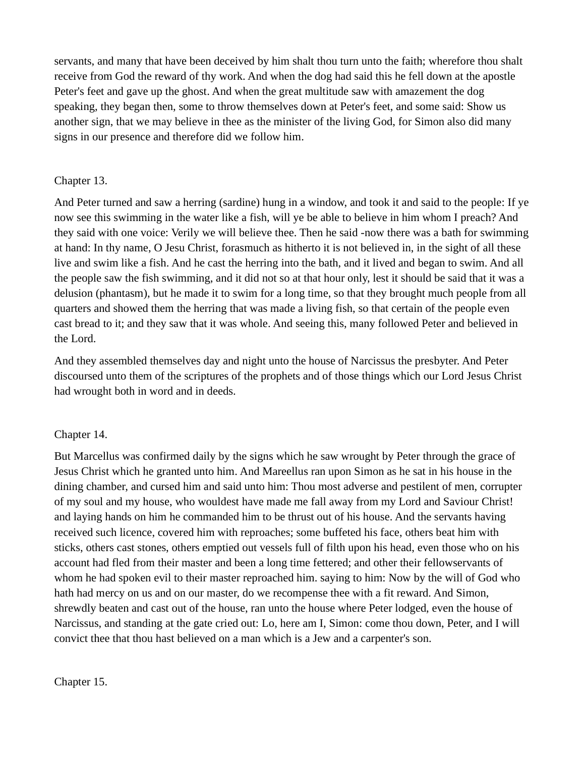servants, and many that have been deceived by him shalt thou turn unto the faith; wherefore thou shalt receive from God the reward of thy work. And when the dog had said this he fell down at the apostle Peter's feet and gave up the ghost. And when the great multitude saw with amazement the dog speaking, they began then, some to throw themselves down at Peter's feet, and some said: Show us another sign, that we may believe in thee as the minister of the living God, for Simon also did many signs in our presence and therefore did we follow him.

# Chapter 13.

And Peter turned and saw a herring (sardine) hung in a window, and took it and said to the people: If ye now see this swimming in the water like a fish, will ye be able to believe in him whom I preach? And they said with one voice: Verily we will believe thee. Then he said -now there was a bath for swimming at hand: In thy name, O Jesu Christ, forasmuch as hitherto it is not believed in, in the sight of all these live and swim like a fish. And he cast the herring into the bath, and it lived and began to swim. And all the people saw the fish swimming, and it did not so at that hour only, lest it should be said that it was a delusion (phantasm), but he made it to swim for a long time, so that they brought much people from all quarters and showed them the herring that was made a living fish, so that certain of the people even cast bread to it; and they saw that it was whole. And seeing this, many followed Peter and believed in the Lord.

And they assembled themselves day and night unto the house of Narcissus the presbyter. And Peter discoursed unto them of the scriptures of the prophets and of those things which our Lord Jesus Christ had wrought both in word and in deeds.

## Chapter 14.

But Marcellus was confirmed daily by the signs which he saw wrought by Peter through the grace of Jesus Christ which he granted unto him. And Mareellus ran upon Simon as he sat in his house in the dining chamber, and cursed him and said unto him: Thou most adverse and pestilent of men, corrupter of my soul and my house, who wouldest have made me fall away from my Lord and Saviour Christ! and laying hands on him he commanded him to be thrust out of his house. And the servants having received such licence, covered him with reproaches; some buffeted his face, others beat him with sticks, others cast stones, others emptied out vessels full of filth upon his head, even those who on his account had fled from their master and been a long time fettered; and other their fellowservants of whom he had spoken evil to their master reproached him. saying to him: Now by the will of God who hath had mercy on us and on our master, do we recompense thee with a fit reward. And Simon, shrewdly beaten and cast out of the house, ran unto the house where Peter lodged, even the house of Narcissus, and standing at the gate cried out: Lo, here am I, Simon: come thou down, Peter, and I will convict thee that thou hast believed on a man which is a Jew and a carpenter's son.

Chapter 15.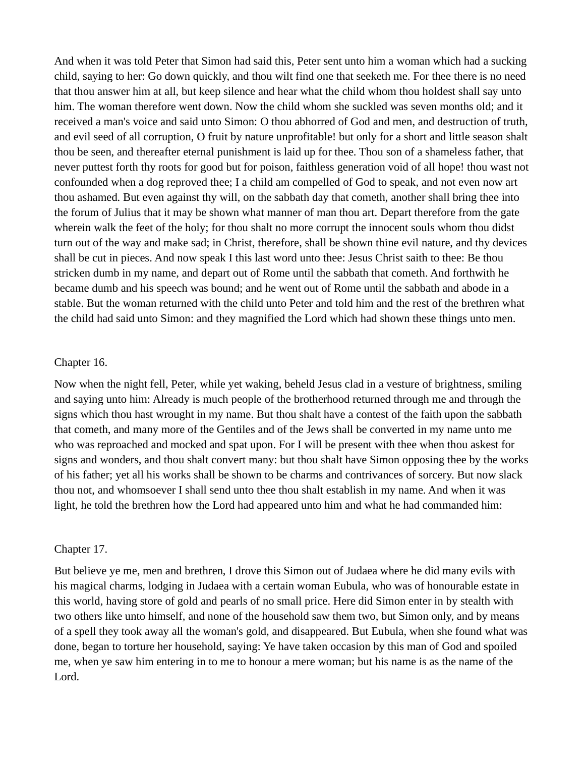And when it was told Peter that Simon had said this, Peter sent unto him a woman which had a sucking child, saying to her: Go down quickly, and thou wilt find one that seeketh me. For thee there is no need that thou answer him at all, but keep silence and hear what the child whom thou holdest shall say unto him. The woman therefore went down. Now the child whom she suckled was seven months old; and it received a man's voice and said unto Simon: O thou abhorred of God and men, and destruction of truth, and evil seed of all corruption, O fruit by nature unprofitable! but only for a short and little season shalt thou be seen, and thereafter eternal punishment is laid up for thee. Thou son of a shameless father, that never puttest forth thy roots for good but for poison, faithless generation void of all hope! thou wast not confounded when a dog reproved thee; I a child am compelled of God to speak, and not even now art thou ashamed. But even against thy will, on the sabbath day that cometh, another shall bring thee into the forum of Julius that it may be shown what manner of man thou art. Depart therefore from the gate wherein walk the feet of the holy; for thou shalt no more corrupt the innocent souls whom thou didst turn out of the way and make sad; in Christ, therefore, shall be shown thine evil nature, and thy devices shall be cut in pieces. And now speak I this last word unto thee: Jesus Christ saith to thee: Be thou stricken dumb in my name, and depart out of Rome until the sabbath that cometh. And forthwith he became dumb and his speech was bound; and he went out of Rome until the sabbath and abode in a stable. But the woman returned with the child unto Peter and told him and the rest of the brethren what the child had said unto Simon: and they magnified the Lord which had shown these things unto men.

#### Chapter 16.

Now when the night fell, Peter, while yet waking, beheld Jesus clad in a vesture of brightness, smiling and saying unto him: Already is much people of the brotherhood returned through me and through the signs which thou hast wrought in my name. But thou shalt have a contest of the faith upon the sabbath that cometh, and many more of the Gentiles and of the Jews shall be converted in my name unto me who was reproached and mocked and spat upon. For I will be present with thee when thou askest for signs and wonders, and thou shalt convert many: but thou shalt have Simon opposing thee by the works of his father; yet all his works shall be shown to be charms and contrivances of sorcery. But now slack thou not, and whomsoever I shall send unto thee thou shalt establish in my name. And when it was light, he told the brethren how the Lord had appeared unto him and what he had commanded him:

#### Chapter 17.

But believe ye me, men and brethren, I drove this Simon out of Judaea where he did many evils with his magical charms, lodging in Judaea with a certain woman Eubula, who was of honourable estate in this world, having store of gold and pearls of no small price. Here did Simon enter in by stealth with two others like unto himself, and none of the household saw them two, but Simon only, and by means of a spell they took away all the woman's gold, and disappeared. But Eubula, when she found what was done, began to torture her household, saying: Ye have taken occasion by this man of God and spoiled me, when ye saw him entering in to me to honour a mere woman; but his name is as the name of the Lord.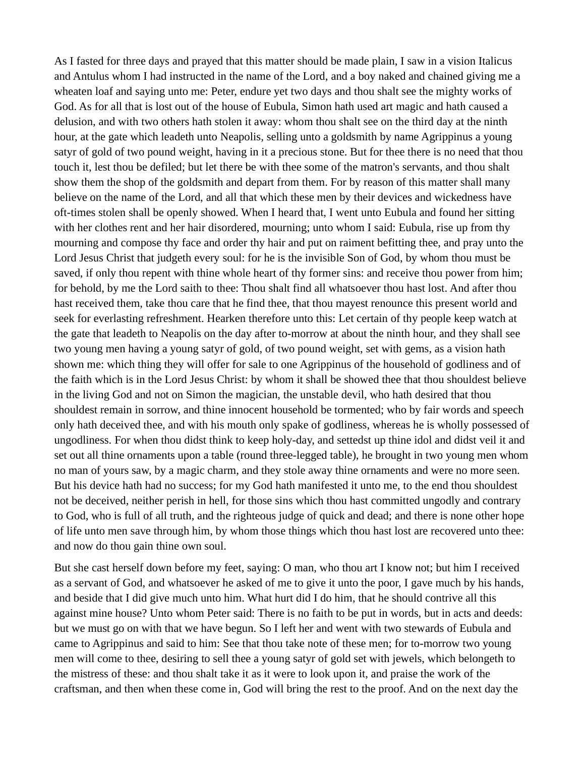As I fasted for three days and prayed that this matter should be made plain, I saw in a vision Italicus and Antulus whom I had instructed in the name of the Lord, and a boy naked and chained giving me a wheaten loaf and saying unto me: Peter, endure yet two days and thou shalt see the mighty works of God. As for all that is lost out of the house of Eubula, Simon hath used art magic and hath caused a delusion, and with two others hath stolen it away: whom thou shalt see on the third day at the ninth hour, at the gate which leadeth unto Neapolis, selling unto a goldsmith by name Agrippinus a young satyr of gold of two pound weight, having in it a precious stone. But for thee there is no need that thou touch it, lest thou be defiled; but let there be with thee some of the matron's servants, and thou shalt show them the shop of the goldsmith and depart from them. For by reason of this matter shall many believe on the name of the Lord, and all that which these men by their devices and wickedness have oft-times stolen shall be openly showed. When I heard that, I went unto Eubula and found her sitting with her clothes rent and her hair disordered, mourning; unto whom I said: Eubula, rise up from thy mourning and compose thy face and order thy hair and put on raiment befitting thee, and pray unto the Lord Jesus Christ that judgeth every soul: for he is the invisible Son of God, by whom thou must be saved, if only thou repent with thine whole heart of thy former sins: and receive thou power from him; for behold, by me the Lord saith to thee: Thou shalt find all whatsoever thou hast lost. And after thou hast received them, take thou care that he find thee, that thou mayest renounce this present world and seek for everlasting refreshment. Hearken therefore unto this: Let certain of thy people keep watch at the gate that leadeth to Neapolis on the day after to-morrow at about the ninth hour, and they shall see two young men having a young satyr of gold, of two pound weight, set with gems, as a vision hath shown me: which thing they will offer for sale to one Agrippinus of the household of godliness and of the faith which is in the Lord Jesus Christ: by whom it shall be showed thee that thou shouldest believe in the living God and not on Simon the magician, the unstable devil, who hath desired that thou shouldest remain in sorrow, and thine innocent household be tormented; who by fair words and speech only hath deceived thee, and with his mouth only spake of godliness, whereas he is wholly possessed of ungodliness. For when thou didst think to keep holy-day, and settedst up thine idol and didst veil it and set out all thine ornaments upon a table (round three-legged table), he brought in two young men whom no man of yours saw, by a magic charm, and they stole away thine ornaments and were no more seen. But his device hath had no success; for my God hath manifested it unto me, to the end thou shouldest not be deceived, neither perish in hell, for those sins which thou hast committed ungodly and contrary to God, who is full of all truth, and the righteous judge of quick and dead; and there is none other hope of life unto men save through him, by whom those things which thou hast lost are recovered unto thee: and now do thou gain thine own soul.

But she cast herself down before my feet, saying: O man, who thou art I know not; but him I received as a servant of God, and whatsoever he asked of me to give it unto the poor, I gave much by his hands, and beside that I did give much unto him. What hurt did I do him, that he should contrive all this against mine house? Unto whom Peter said: There is no faith to be put in words, but in acts and deeds: but we must go on with that we have begun. So I left her and went with two stewards of Eubula and came to Agrippinus and said to him: See that thou take note of these men; for to-morrow two young men will come to thee, desiring to sell thee a young satyr of gold set with jewels, which belongeth to the mistress of these: and thou shalt take it as it were to look upon it, and praise the work of the craftsman, and then when these come in, God will bring the rest to the proof. And on the next day the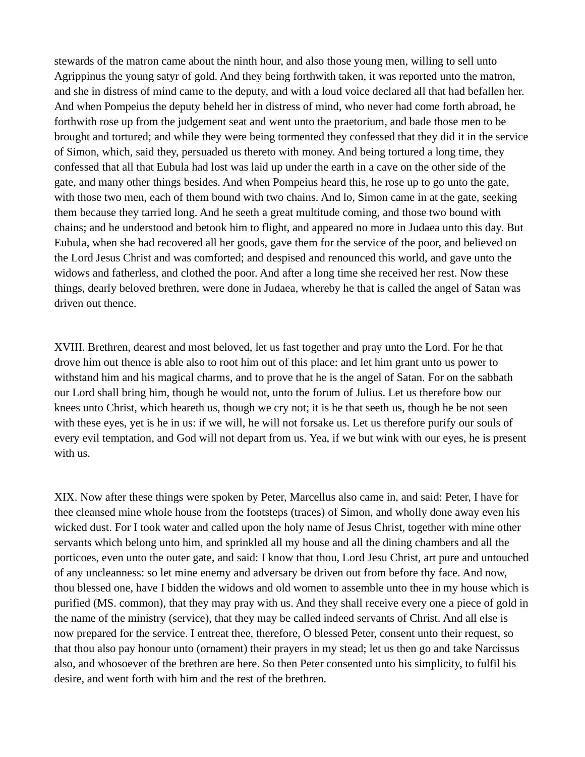stewards of the matron came about the ninth hour, and also those young men, willing to sell unto Agrippinus the young satyr of gold. And they being forthwith taken, it was reported unto the matron, and she in distress of mind came to the deputy, and with a loud voice declared all that had befallen her. And when Pompeius the deputy beheld her in distress of mind, who never had come forth abroad, he forthwith rose up from the judgement seat and went unto the praetorium, and bade those men to be brought and tortured; and while they were being tormented they confessed that they did it in the service of Simon, which, said they, persuaded us thereto with money. And being tortured a long time, they confessed that all that Eubula had lost was laid up under the earth in a cave on the other side of the gate, and many other things besides. And when Pompeius heard this, he rose up to go unto the gate, with those two men, each of them bound with two chains. And lo, Simon came in at the gate, seeking them because they tarried long. And he seeth a great multitude coming, and those two bound with chains; and he understood and betook him to flight, and appeared no more in Judaea unto this day. But Eubula, when she had recovered all her goods, gave them for the service of the poor, and believed on the Lord Jesus Christ and was comforted; and despised and renounced this world, and gave unto the widows and fatherless, and clothed the poor. And after a long time she received her rest. Now these things, dearly beloved brethren, were done in Judaea, whereby he that is called the angel of Satan was driven out thence.

XVIII. Brethren, dearest and most beloved, let us fast together and pray unto the Lord. For he that drove him out thence is able also to root him out of this place: and let him grant unto us power to withstand him and his magical charms, and to prove that he is the angel of Satan. For on the sabbath our Lord shall bring him, though he would not, unto the forum of Julius. Let us therefore bow our knees unto Christ, which heareth us, though we cry not; it is he that seeth us, though he be not seen with these eyes, yet is he in us: if we will, he will not forsake us. Let us therefore purify our souls of every evil temptation, and God will not depart from us. Yea, if we but wink with our eyes, he is present with us.

XIX. Now after these things were spoken by Peter, Marcellus also came in, and said: Peter, I have for thee cleansed mine whole house from the footsteps (traces) of Simon, and wholly done away even his wicked dust. For I took water and called upon the holy name of Jesus Christ, together with mine other servants which belong unto him, and sprinkled all my house and all the dining chambers and all the porticoes, even unto the outer gate, and said: I know that thou, Lord Jesu Christ, art pure and untouched of any uncleanness: so let mine enemy and adversary be driven out from before thy face. And now, thou blessed one, have I bidden the widows and old women to assemble unto thee in my house which is purified (MS. common), that they may pray with us. And they shall receive every one a piece of gold in the name of the ministry (service), that they may be called indeed servants of Christ. And all else is now prepared for the service. I entreat thee, therefore, O blessed Peter, consent unto their request, so that thou also pay honour unto (ornament) their prayers in my stead; let us then go and take Narcissus also, and whosoever of the brethren are here. So then Peter consented unto his simplicity, to fulfil his desire, and went forth with him and the rest of the brethren.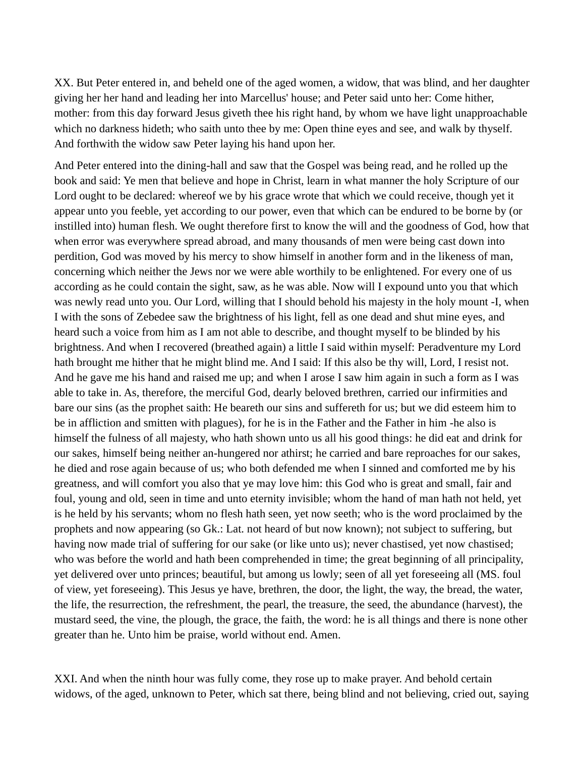XX. But Peter entered in, and beheld one of the aged women, a widow, that was blind, and her daughter giving her her hand and leading her into Marcellus' house; and Peter said unto her: Come hither, mother: from this day forward Jesus giveth thee his right hand, by whom we have light unapproachable which no darkness hideth; who saith unto thee by me: Open thine eyes and see, and walk by thyself. And forthwith the widow saw Peter laying his hand upon her.

And Peter entered into the dining-hall and saw that the Gospel was being read, and he rolled up the book and said: Ye men that believe and hope in Christ, learn in what manner the holy Scripture of our Lord ought to be declared: whereof we by his grace wrote that which we could receive, though yet it appear unto you feeble, yet according to our power, even that which can be endured to be borne by (or instilled into) human flesh. We ought therefore first to know the will and the goodness of God, how that when error was everywhere spread abroad, and many thousands of men were being cast down into perdition, God was moved by his mercy to show himself in another form and in the likeness of man, concerning which neither the Jews nor we were able worthily to be enlightened. For every one of us according as he could contain the sight, saw, as he was able. Now will I expound unto you that which was newly read unto you. Our Lord, willing that I should behold his majesty in the holy mount -I, when I with the sons of Zebedee saw the brightness of his light, fell as one dead and shut mine eyes, and heard such a voice from him as I am not able to describe, and thought myself to be blinded by his brightness. And when I recovered (breathed again) a little I said within myself: Peradventure my Lord hath brought me hither that he might blind me. And I said: If this also be thy will, Lord, I resist not. And he gave me his hand and raised me up; and when I arose I saw him again in such a form as I was able to take in. As, therefore, the merciful God, dearly beloved brethren, carried our infirmities and bare our sins (as the prophet saith: He beareth our sins and suffereth for us; but we did esteem him to be in affliction and smitten with plagues), for he is in the Father and the Father in him -he also is himself the fulness of all majesty, who hath shown unto us all his good things: he did eat and drink for our sakes, himself being neither an-hungered nor athirst; he carried and bare reproaches for our sakes, he died and rose again because of us; who both defended me when I sinned and comforted me by his greatness, and will comfort you also that ye may love him: this God who is great and small, fair and foul, young and old, seen in time and unto eternity invisible; whom the hand of man hath not held, yet is he held by his servants; whom no flesh hath seen, yet now seeth; who is the word proclaimed by the prophets and now appearing (so Gk.: Lat. not heard of but now known); not subject to suffering, but having now made trial of suffering for our sake (or like unto us); never chastised, yet now chastised; who was before the world and hath been comprehended in time; the great beginning of all principality, yet delivered over unto princes; beautiful, but among us lowly; seen of all yet foreseeing all (MS. foul of view, yet foreseeing). This Jesus ye have, brethren, the door, the light, the way, the bread, the water, the life, the resurrection, the refreshment, the pearl, the treasure, the seed, the abundance (harvest), the mustard seed, the vine, the plough, the grace, the faith, the word: he is all things and there is none other greater than he. Unto him be praise, world without end. Amen.

XXI. And when the ninth hour was fully come, they rose up to make prayer. And behold certain widows, of the aged, unknown to Peter, which sat there, being blind and not believing, cried out, saying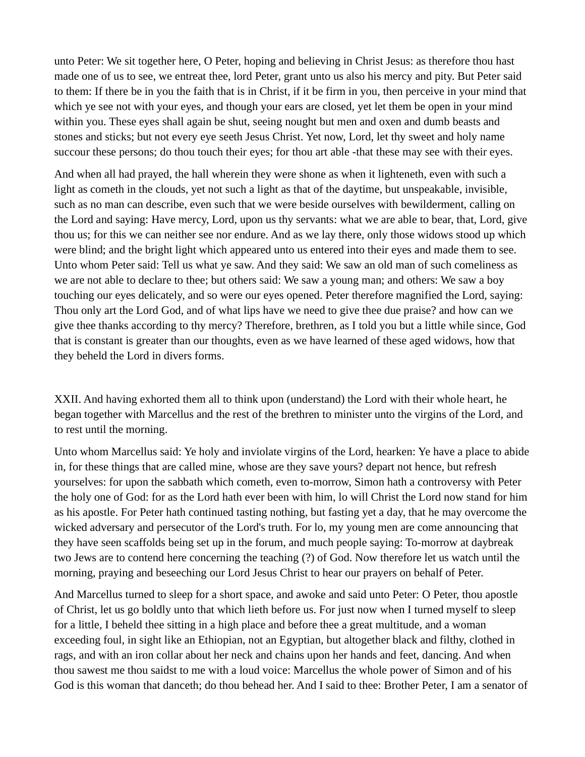unto Peter: We sit together here, O Peter, hoping and believing in Christ Jesus: as therefore thou hast made one of us to see, we entreat thee, lord Peter, grant unto us also his mercy and pity. But Peter said to them: If there be in you the faith that is in Christ, if it be firm in you, then perceive in your mind that which ye see not with your eyes, and though your ears are closed, yet let them be open in your mind within you. These eyes shall again be shut, seeing nought but men and oxen and dumb beasts and stones and sticks; but not every eye seeth Jesus Christ. Yet now, Lord, let thy sweet and holy name succour these persons; do thou touch their eyes; for thou art able -that these may see with their eyes.

And when all had prayed, the hall wherein they were shone as when it lighteneth, even with such a light as cometh in the clouds, yet not such a light as that of the daytime, but unspeakable, invisible, such as no man can describe, even such that we were beside ourselves with bewilderment, calling on the Lord and saying: Have mercy, Lord, upon us thy servants: what we are able to bear, that, Lord, give thou us; for this we can neither see nor endure. And as we lay there, only those widows stood up which were blind; and the bright light which appeared unto us entered into their eyes and made them to see. Unto whom Peter said: Tell us what ye saw. And they said: We saw an old man of such comeliness as we are not able to declare to thee; but others said: We saw a young man; and others: We saw a boy touching our eyes delicately, and so were our eyes opened. Peter therefore magnified the Lord, saying: Thou only art the Lord God, and of what lips have we need to give thee due praise? and how can we give thee thanks according to thy mercy? Therefore, brethren, as I told you but a little while since, God that is constant is greater than our thoughts, even as we have learned of these aged widows, how that they beheld the Lord in divers forms.

XXII. And having exhorted them all to think upon (understand) the Lord with their whole heart, he began together with Marcellus and the rest of the brethren to minister unto the virgins of the Lord, and to rest until the morning.

Unto whom Marcellus said: Ye holy and inviolate virgins of the Lord, hearken: Ye have a place to abide in, for these things that are called mine, whose are they save yours? depart not hence, but refresh yourselves: for upon the sabbath which cometh, even to-morrow, Simon hath a controversy with Peter the holy one of God: for as the Lord hath ever been with him, lo will Christ the Lord now stand for him as his apostle. For Peter hath continued tasting nothing, but fasting yet a day, that he may overcome the wicked adversary and persecutor of the Lord's truth. For lo, my young men are come announcing that they have seen scaffolds being set up in the forum, and much people saying: To-morrow at daybreak two Jews are to contend here concerning the teaching (?) of God. Now therefore let us watch until the morning, praying and beseeching our Lord Jesus Christ to hear our prayers on behalf of Peter.

And Marcellus turned to sleep for a short space, and awoke and said unto Peter: O Peter, thou apostle of Christ, let us go boldly unto that which lieth before us. For just now when I turned myself to sleep for a little, I beheld thee sitting in a high place and before thee a great multitude, and a woman exceeding foul, in sight like an Ethiopian, not an Egyptian, but altogether black and filthy, clothed in rags, and with an iron collar about her neck and chains upon her hands and feet, dancing. And when thou sawest me thou saidst to me with a loud voice: Marcellus the whole power of Simon and of his God is this woman that danceth; do thou behead her. And I said to thee: Brother Peter, I am a senator of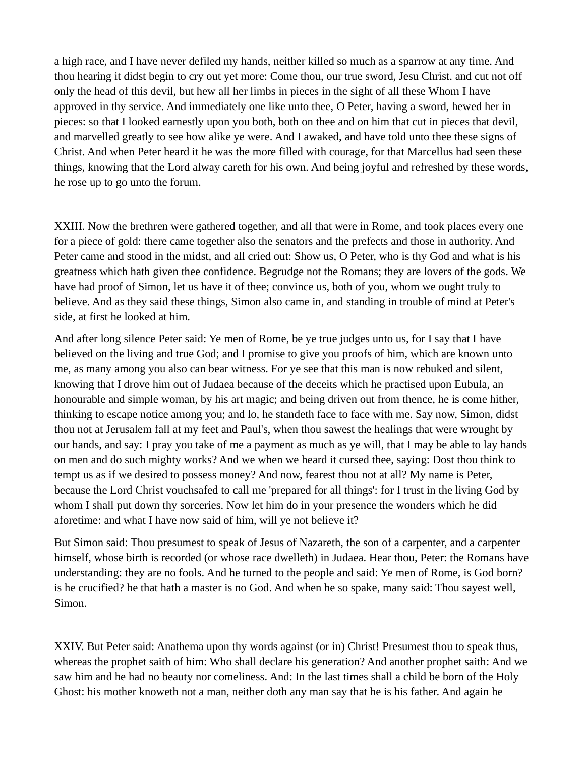a high race, and I have never defiled my hands, neither killed so much as a sparrow at any time. And thou hearing it didst begin to cry out yet more: Come thou, our true sword, Jesu Christ. and cut not off only the head of this devil, but hew all her limbs in pieces in the sight of all these Whom I have approved in thy service. And immediately one like unto thee, O Peter, having a sword, hewed her in pieces: so that I looked earnestly upon you both, both on thee and on him that cut in pieces that devil, and marvelled greatly to see how alike ye were. And I awaked, and have told unto thee these signs of Christ. And when Peter heard it he was the more filled with courage, for that Marcellus had seen these things, knowing that the Lord alway careth for his own. And being joyful and refreshed by these words, he rose up to go unto the forum.

XXIII. Now the brethren were gathered together, and all that were in Rome, and took places every one for a piece of gold: there came together also the senators and the prefects and those in authority. And Peter came and stood in the midst, and all cried out: Show us, O Peter, who is thy God and what is his greatness which hath given thee confidence. Begrudge not the Romans; they are lovers of the gods. We have had proof of Simon, let us have it of thee; convince us, both of you, whom we ought truly to believe. And as they said these things, Simon also came in, and standing in trouble of mind at Peter's side, at first he looked at him.

And after long silence Peter said: Ye men of Rome, be ye true judges unto us, for I say that I have believed on the living and true God; and I promise to give you proofs of him, which are known unto me, as many among you also can bear witness. For ye see that this man is now rebuked and silent, knowing that I drove him out of Judaea because of the deceits which he practised upon Eubula, an honourable and simple woman, by his art magic; and being driven out from thence, he is come hither, thinking to escape notice among you; and lo, he standeth face to face with me. Say now, Simon, didst thou not at Jerusalem fall at my feet and Paul's, when thou sawest the healings that were wrought by our hands, and say: I pray you take of me a payment as much as ye will, that I may be able to lay hands on men and do such mighty works? And we when we heard it cursed thee, saying: Dost thou think to tempt us as if we desired to possess money? And now, fearest thou not at all? My name is Peter, because the Lord Christ vouchsafed to call me 'prepared for all things': for I trust in the living God by whom I shall put down thy sorceries. Now let him do in your presence the wonders which he did aforetime: and what I have now said of him, will ye not believe it?

But Simon said: Thou presumest to speak of Jesus of Nazareth, the son of a carpenter, and a carpenter himself, whose birth is recorded (or whose race dwelleth) in Judaea. Hear thou, Peter: the Romans have understanding: they are no fools. And he turned to the people and said: Ye men of Rome, is God born? is he crucified? he that hath a master is no God. And when he so spake, many said: Thou sayest well, Simon.

XXIV. But Peter said: Anathema upon thy words against (or in) Christ! Presumest thou to speak thus, whereas the prophet saith of him: Who shall declare his generation? And another prophet saith: And we saw him and he had no beauty nor comeliness. And: In the last times shall a child be born of the Holy Ghost: his mother knoweth not a man, neither doth any man say that he is his father. And again he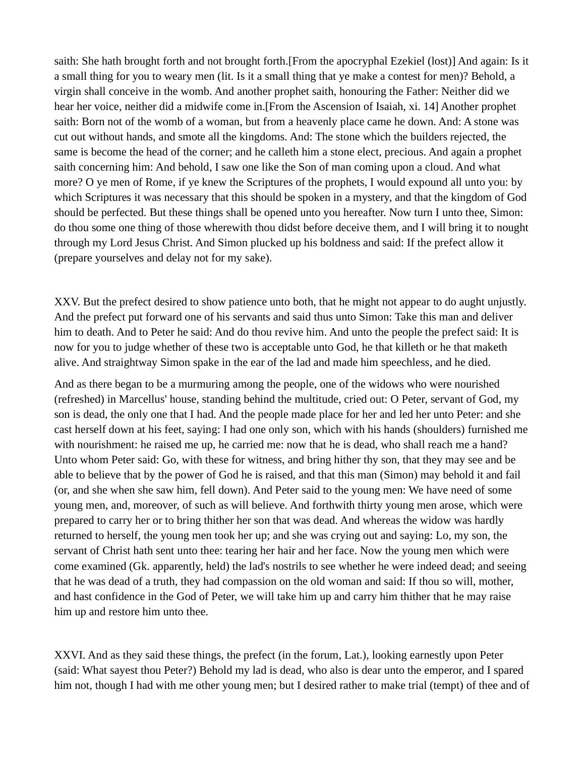saith: She hath brought forth and not brought forth.[From the apocryphal Ezekiel (lost)] And again: Is it a small thing for you to weary men (lit. Is it a small thing that ye make a contest for men)? Behold, a virgin shall conceive in the womb. And another prophet saith, honouring the Father: Neither did we hear her voice, neither did a midwife come in.[From the Ascension of Isaiah, xi. 14] Another prophet saith: Born not of the womb of a woman, but from a heavenly place came he down. And: A stone was cut out without hands, and smote all the kingdoms. And: The stone which the builders rejected, the same is become the head of the corner; and he calleth him a stone elect, precious. And again a prophet saith concerning him: And behold, I saw one like the Son of man coming upon a cloud. And what more? O ye men of Rome, if ye knew the Scriptures of the prophets, I would expound all unto you: by which Scriptures it was necessary that this should be spoken in a mystery, and that the kingdom of God should be perfected. But these things shall be opened unto you hereafter. Now turn I unto thee, Simon: do thou some one thing of those wherewith thou didst before deceive them, and I will bring it to nought through my Lord Jesus Christ. And Simon plucked up his boldness and said: If the prefect allow it (prepare yourselves and delay not for my sake).

XXV. But the prefect desired to show patience unto both, that he might not appear to do aught unjustly. And the prefect put forward one of his servants and said thus unto Simon: Take this man and deliver him to death. And to Peter he said: And do thou revive him. And unto the people the prefect said: It is now for you to judge whether of these two is acceptable unto God, he that killeth or he that maketh alive. And straightway Simon spake in the ear of the lad and made him speechless, and he died.

And as there began to be a murmuring among the people, one of the widows who were nourished (refreshed) in Marcellus' house, standing behind the multitude, cried out: O Peter, servant of God, my son is dead, the only one that I had. And the people made place for her and led her unto Peter: and she cast herself down at his feet, saying: I had one only son, which with his hands (shoulders) furnished me with nourishment: he raised me up, he carried me: now that he is dead, who shall reach me a hand? Unto whom Peter said: Go, with these for witness, and bring hither thy son, that they may see and be able to believe that by the power of God he is raised, and that this man (Simon) may behold it and fail (or, and she when she saw him, fell down). And Peter said to the young men: We have need of some young men, and, moreover, of such as will believe. And forthwith thirty young men arose, which were prepared to carry her or to bring thither her son that was dead. And whereas the widow was hardly returned to herself, the young men took her up; and she was crying out and saying: Lo, my son, the servant of Christ hath sent unto thee: tearing her hair and her face. Now the young men which were come examined (Gk. apparently, held) the lad's nostrils to see whether he were indeed dead; and seeing that he was dead of a truth, they had compassion on the old woman and said: If thou so will, mother, and hast confidence in the God of Peter, we will take him up and carry him thither that he may raise him up and restore him unto thee.

XXVI. And as they said these things, the prefect (in the forum, Lat.), looking earnestly upon Peter (said: What sayest thou Peter?) Behold my lad is dead, who also is dear unto the emperor, and I spared him not, though I had with me other young men; but I desired rather to make trial (tempt) of thee and of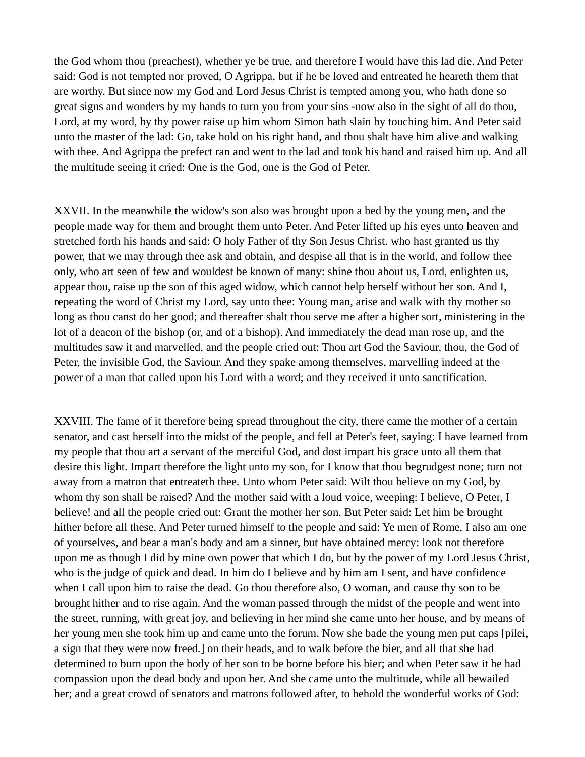the God whom thou (preachest), whether ye be true, and therefore I would have this lad die. And Peter said: God is not tempted nor proved, O Agrippa, but if he be loved and entreated he heareth them that are worthy. But since now my God and Lord Jesus Christ is tempted among you, who hath done so great signs and wonders by my hands to turn you from your sins -now also in the sight of all do thou, Lord, at my word, by thy power raise up him whom Simon hath slain by touching him. And Peter said unto the master of the lad: Go, take hold on his right hand, and thou shalt have him alive and walking with thee. And Agrippa the prefect ran and went to the lad and took his hand and raised him up. And all the multitude seeing it cried: One is the God, one is the God of Peter.

XXVII. In the meanwhile the widow's son also was brought upon a bed by the young men, and the people made way for them and brought them unto Peter. And Peter lifted up his eyes unto heaven and stretched forth his hands and said: O holy Father of thy Son Jesus Christ. who hast granted us thy power, that we may through thee ask and obtain, and despise all that is in the world, and follow thee only, who art seen of few and wouldest be known of many: shine thou about us, Lord, enlighten us, appear thou, raise up the son of this aged widow, which cannot help herself without her son. And I, repeating the word of Christ my Lord, say unto thee: Young man, arise and walk with thy mother so long as thou canst do her good; and thereafter shalt thou serve me after a higher sort, ministering in the lot of a deacon of the bishop (or, and of a bishop). And immediately the dead man rose up, and the multitudes saw it and marvelled, and the people cried out: Thou art God the Saviour, thou, the God of Peter, the invisible God, the Saviour. And they spake among themselves, marvelling indeed at the power of a man that called upon his Lord with a word; and they received it unto sanctification.

XXVIII. The fame of it therefore being spread throughout the city, there came the mother of a certain senator, and cast herself into the midst of the people, and fell at Peter's feet, saying: I have learned from my people that thou art a servant of the merciful God, and dost impart his grace unto all them that desire this light. Impart therefore the light unto my son, for I know that thou begrudgest none; turn not away from a matron that entreateth thee. Unto whom Peter said: Wilt thou believe on my God, by whom thy son shall be raised? And the mother said with a loud voice, weeping: I believe, O Peter, I believe! and all the people cried out: Grant the mother her son. But Peter said: Let him be brought hither before all these. And Peter turned himself to the people and said: Ye men of Rome, I also am one of yourselves, and bear a man's body and am a sinner, but have obtained mercy: look not therefore upon me as though I did by mine own power that which I do, but by the power of my Lord Jesus Christ, who is the judge of quick and dead. In him do I believe and by him am I sent, and have confidence when I call upon him to raise the dead. Go thou therefore also, O woman, and cause thy son to be brought hither and to rise again. And the woman passed through the midst of the people and went into the street, running, with great joy, and believing in her mind she came unto her house, and by means of her young men she took him up and came unto the forum. Now she bade the young men put caps [pilei, a sign that they were now freed.] on their heads, and to walk before the bier, and all that she had determined to burn upon the body of her son to be borne before his bier; and when Peter saw it he had compassion upon the dead body and upon her. And she came unto the multitude, while all bewailed her; and a great crowd of senators and matrons followed after, to behold the wonderful works of God: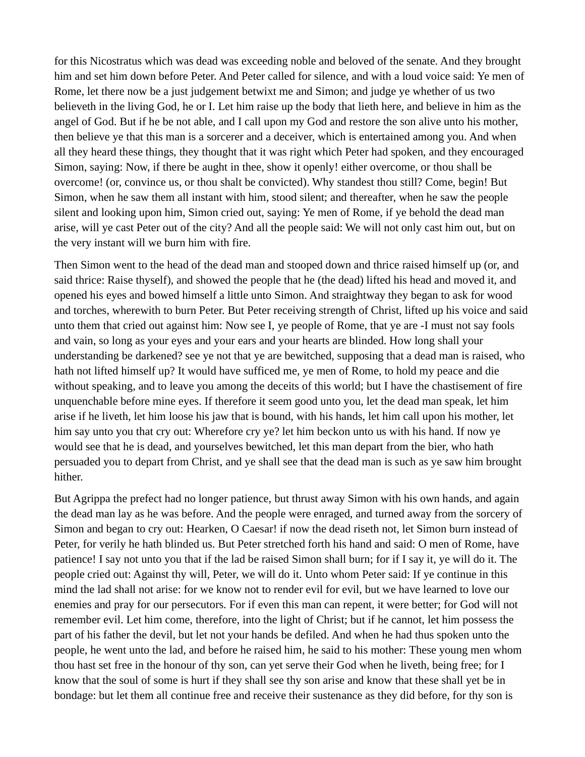for this Nicostratus which was dead was exceeding noble and beloved of the senate. And they brought him and set him down before Peter. And Peter called for silence, and with a loud voice said: Ye men of Rome, let there now be a just judgement betwixt me and Simon; and judge ye whether of us two believeth in the living God, he or I. Let him raise up the body that lieth here, and believe in him as the angel of God. But if he be not able, and I call upon my God and restore the son alive unto his mother, then believe ye that this man is a sorcerer and a deceiver, which is entertained among you. And when all they heard these things, they thought that it was right which Peter had spoken, and they encouraged Simon, saying: Now, if there be aught in thee, show it openly! either overcome, or thou shall be overcome! (or, convince us, or thou shalt be convicted). Why standest thou still? Come, begin! But Simon, when he saw them all instant with him, stood silent; and thereafter, when he saw the people silent and looking upon him, Simon cried out, saying: Ye men of Rome, if ye behold the dead man arise, will ye cast Peter out of the city? And all the people said: We will not only cast him out, but on the very instant will we burn him with fire.

Then Simon went to the head of the dead man and stooped down and thrice raised himself up (or, and said thrice: Raise thyself), and showed the people that he (the dead) lifted his head and moved it, and opened his eyes and bowed himself a little unto Simon. And straightway they began to ask for wood and torches, wherewith to burn Peter. But Peter receiving strength of Christ, lifted up his voice and said unto them that cried out against him: Now see I, ye people of Rome, that ye are -I must not say fools and vain, so long as your eyes and your ears and your hearts are blinded. How long shall your understanding be darkened? see ye not that ye are bewitched, supposing that a dead man is raised, who hath not lifted himself up? It would have sufficed me, ye men of Rome, to hold my peace and die without speaking, and to leave you among the deceits of this world; but I have the chastisement of fire unquenchable before mine eyes. If therefore it seem good unto you, let the dead man speak, let him arise if he liveth, let him loose his jaw that is bound, with his hands, let him call upon his mother, let him say unto you that cry out: Wherefore cry ye? let him beckon unto us with his hand. If now ye would see that he is dead, and yourselves bewitched, let this man depart from the bier, who hath persuaded you to depart from Christ, and ye shall see that the dead man is such as ye saw him brought hither.

But Agrippa the prefect had no longer patience, but thrust away Simon with his own hands, and again the dead man lay as he was before. And the people were enraged, and turned away from the sorcery of Simon and began to cry out: Hearken, O Caesar! if now the dead riseth not, let Simon burn instead of Peter, for verily he hath blinded us. But Peter stretched forth his hand and said: O men of Rome, have patience! I say not unto you that if the lad be raised Simon shall burn; for if I say it, ye will do it. The people cried out: Against thy will, Peter, we will do it. Unto whom Peter said: If ye continue in this mind the lad shall not arise: for we know not to render evil for evil, but we have learned to love our enemies and pray for our persecutors. For if even this man can repent, it were better; for God will not remember evil. Let him come, therefore, into the light of Christ; but if he cannot, let him possess the part of his father the devil, but let not your hands be defiled. And when he had thus spoken unto the people, he went unto the lad, and before he raised him, he said to his mother: These young men whom thou hast set free in the honour of thy son, can yet serve their God when he liveth, being free; for I know that the soul of some is hurt if they shall see thy son arise and know that these shall yet be in bondage: but let them all continue free and receive their sustenance as they did before, for thy son is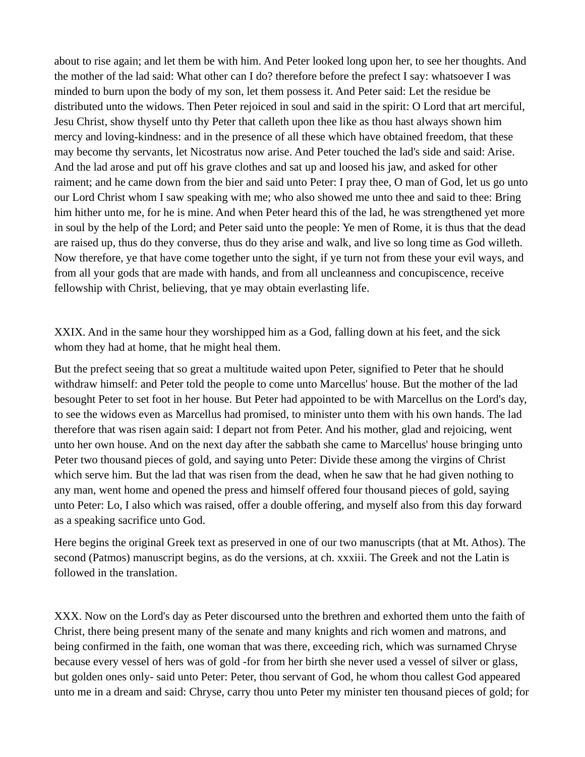about to rise again; and let them be with him. And Peter looked long upon her, to see her thoughts. And the mother of the lad said: What other can I do? therefore before the prefect I say: whatsoever I was minded to burn upon the body of my son, let them possess it. And Peter said: Let the residue be distributed unto the widows. Then Peter rejoiced in soul and said in the spirit: O Lord that art merciful, Jesu Christ, show thyself unto thy Peter that calleth upon thee like as thou hast always shown him mercy and loving-kindness: and in the presence of all these which have obtained freedom, that these may become thy servants, let Nicostratus now arise. And Peter touched the lad's side and said: Arise. And the lad arose and put off his grave clothes and sat up and loosed his jaw, and asked for other raiment; and he came down from the bier and said unto Peter: I pray thee, O man of God, let us go unto our Lord Christ whom I saw speaking with me; who also showed me unto thee and said to thee: Bring him hither unto me, for he is mine. And when Peter heard this of the lad, he was strengthened yet more in soul by the help of the Lord; and Peter said unto the people: Ye men of Rome, it is thus that the dead are raised up, thus do they converse, thus do they arise and walk, and live so long time as God willeth. Now therefore, ye that have come together unto the sight, if ye turn not from these your evil ways, and from all your gods that are made with hands, and from all uncleanness and concupiscence, receive fellowship with Christ, believing, that ye may obtain everlasting life.

XXIX. And in the same hour they worshipped him as a God, falling down at his feet, and the sick whom they had at home, that he might heal them.

But the prefect seeing that so great a multitude waited upon Peter, signified to Peter that he should withdraw himself: and Peter told the people to come unto Marcellus' house. But the mother of the lad besought Peter to set foot in her house. But Peter had appointed to be with Marcellus on the Lord's day, to see the widows even as Marcellus had promised, to minister unto them with his own hands. The lad therefore that was risen again said: I depart not from Peter. And his mother, glad and rejoicing, went unto her own house. And on the next day after the sabbath she came to Marcellus' house bringing unto Peter two thousand pieces of gold, and saying unto Peter: Divide these among the virgins of Christ which serve him. But the lad that was risen from the dead, when he saw that he had given nothing to any man, went home and opened the press and himself offered four thousand pieces of gold, saying unto Peter: Lo, I also which was raised, offer a double offering, and myself also from this day forward as a speaking sacrifice unto God.

Here begins the original Greek text as preserved in one of our two manuscripts (that at Mt. Athos). The second (Patmos) manuscript begins, as do the versions, at ch. xxxiii. The Greek and not the Latin is followed in the translation.

XXX. Now on the Lord's day as Peter discoursed unto the brethren and exhorted them unto the faith of Christ, there being present many of the senate and many knights and rich women and matrons, and being confirmed in the faith, one woman that was there, exceeding rich, which was surnamed Chryse because every vessel of hers was of gold -for from her birth she never used a vessel of silver or glass, but golden ones only- said unto Peter: Peter, thou servant of God, he whom thou callest God appeared unto me in a dream and said: Chryse, carry thou unto Peter my minister ten thousand pieces of gold; for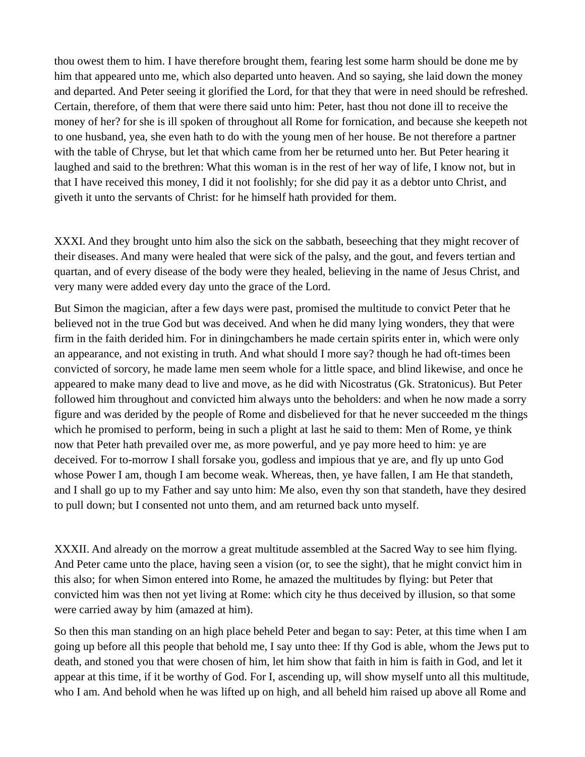thou owest them to him. I have therefore brought them, fearing lest some harm should be done me by him that appeared unto me, which also departed unto heaven. And so saying, she laid down the money and departed. And Peter seeing it glorified the Lord, for that they that were in need should be refreshed. Certain, therefore, of them that were there said unto him: Peter, hast thou not done ill to receive the money of her? for she is ill spoken of throughout all Rome for fornication, and because she keepeth not to one husband, yea, she even hath to do with the young men of her house. Be not therefore a partner with the table of Chryse, but let that which came from her be returned unto her. But Peter hearing it laughed and said to the brethren: What this woman is in the rest of her way of life, I know not, but in that I have received this money, I did it not foolishly; for she did pay it as a debtor unto Christ, and giveth it unto the servants of Christ: for he himself hath provided for them.

XXXI. And they brought unto him also the sick on the sabbath, beseeching that they might recover of their diseases. And many were healed that were sick of the palsy, and the gout, and fevers tertian and quartan, and of every disease of the body were they healed, believing in the name of Jesus Christ, and very many were added every day unto the grace of the Lord.

But Simon the magician, after a few days were past, promised the multitude to convict Peter that he believed not in the true God but was deceived. And when he did many lying wonders, they that were firm in the faith derided him. For in diningchambers he made certain spirits enter in, which were only an appearance, and not existing in truth. And what should I more say? though he had oft-times been convicted of sorcory, he made lame men seem whole for a little space, and blind likewise, and once he appeared to make many dead to live and move, as he did with Nicostratus (Gk. Stratonicus). But Peter followed him throughout and convicted him always unto the beholders: and when he now made a sorry figure and was derided by the people of Rome and disbelieved for that he never succeeded m the things which he promised to perform, being in such a plight at last he said to them: Men of Rome, ye think now that Peter hath prevailed over me, as more powerful, and ye pay more heed to him: ye are deceived. For to-morrow I shall forsake you, godless and impious that ye are, and fly up unto God whose Power I am, though I am become weak. Whereas, then, ye have fallen, I am He that standeth, and I shall go up to my Father and say unto him: Me also, even thy son that standeth, have they desired to pull down; but I consented not unto them, and am returned back unto myself.

XXXII. And already on the morrow a great multitude assembled at the Sacred Way to see him flying. And Peter came unto the place, having seen a vision (or, to see the sight), that he might convict him in this also; for when Simon entered into Rome, he amazed the multitudes by flying: but Peter that convicted him was then not yet living at Rome: which city he thus deceived by illusion, so that some were carried away by him (amazed at him).

So then this man standing on an high place beheld Peter and began to say: Peter, at this time when I am going up before all this people that behold me, I say unto thee: If thy God is able, whom the Jews put to death, and stoned you that were chosen of him, let him show that faith in him is faith in God, and let it appear at this time, if it be worthy of God. For I, ascending up, will show myself unto all this multitude, who I am. And behold when he was lifted up on high, and all beheld him raised up above all Rome and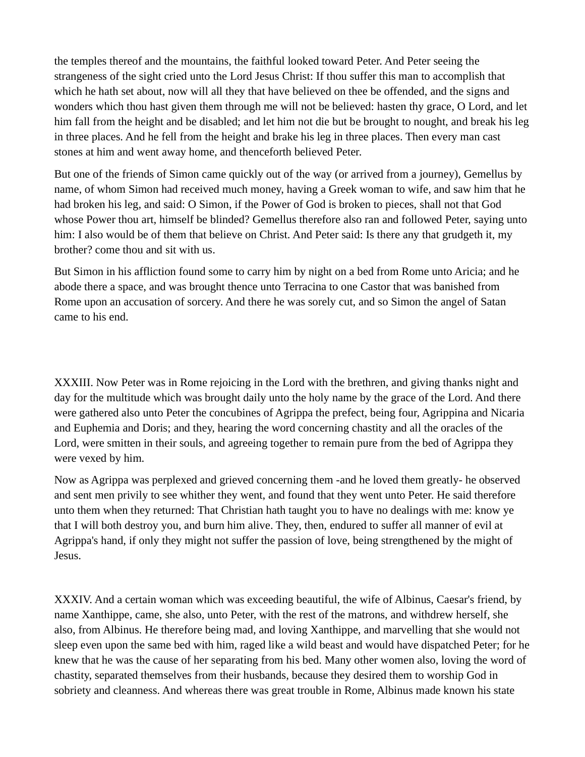the temples thereof and the mountains, the faithful looked toward Peter. And Peter seeing the strangeness of the sight cried unto the Lord Jesus Christ: If thou suffer this man to accomplish that which he hath set about, now will all they that have believed on thee be offended, and the signs and wonders which thou hast given them through me will not be believed: hasten thy grace, O Lord, and let him fall from the height and be disabled; and let him not die but be brought to nought, and break his leg in three places. And he fell from the height and brake his leg in three places. Then every man cast stones at him and went away home, and thenceforth believed Peter.

But one of the friends of Simon came quickly out of the way (or arrived from a journey), Gemellus by name, of whom Simon had received much money, having a Greek woman to wife, and saw him that he had broken his leg, and said: O Simon, if the Power of God is broken to pieces, shall not that God whose Power thou art, himself be blinded? Gemellus therefore also ran and followed Peter, saying unto him: I also would be of them that believe on Christ. And Peter said: Is there any that grudgeth it, my brother? come thou and sit with us.

But Simon in his affliction found some to carry him by night on a bed from Rome unto Aricia; and he abode there a space, and was brought thence unto Terracina to one Castor that was banished from Rome upon an accusation of sorcery. And there he was sorely cut, and so Simon the angel of Satan came to his end.

XXXIII. Now Peter was in Rome rejoicing in the Lord with the brethren, and giving thanks night and day for the multitude which was brought daily unto the holy name by the grace of the Lord. And there were gathered also unto Peter the concubines of Agrippa the prefect, being four, Agrippina and Nicaria and Euphemia and Doris; and they, hearing the word concerning chastity and all the oracles of the Lord, were smitten in their souls, and agreeing together to remain pure from the bed of Agrippa they were vexed by him.

Now as Agrippa was perplexed and grieved concerning them -and he loved them greatly- he observed and sent men privily to see whither they went, and found that they went unto Peter. He said therefore unto them when they returned: That Christian hath taught you to have no dealings with me: know ye that I will both destroy you, and burn him alive. They, then, endured to suffer all manner of evil at Agrippa's hand, if only they might not suffer the passion of love, being strengthened by the might of Jesus.

XXXIV. And a certain woman which was exceeding beautiful, the wife of Albinus, Caesar's friend, by name Xanthippe, came, she also, unto Peter, with the rest of the matrons, and withdrew herself, she also, from Albinus. He therefore being mad, and loving Xanthippe, and marvelling that she would not sleep even upon the same bed with him, raged like a wild beast and would have dispatched Peter; for he knew that he was the cause of her separating from his bed. Many other women also, loving the word of chastity, separated themselves from their husbands, because they desired them to worship God in sobriety and cleanness. And whereas there was great trouble in Rome, Albinus made known his state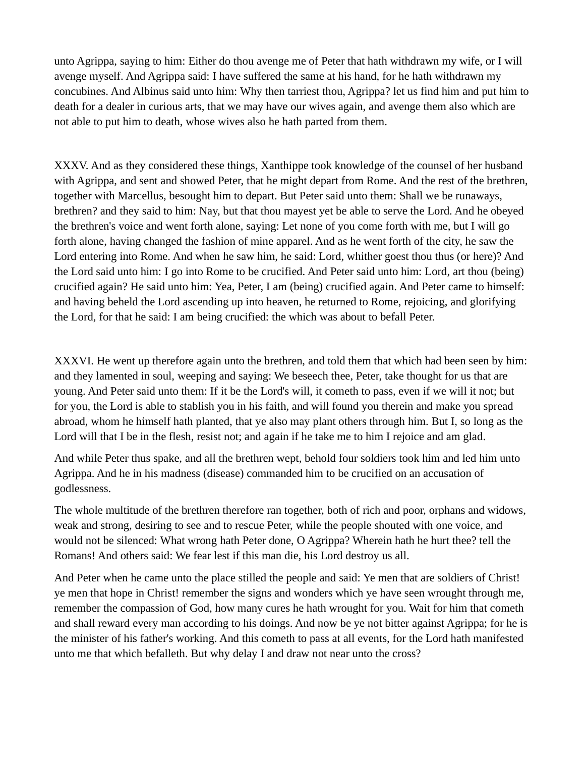unto Agrippa, saying to him: Either do thou avenge me of Peter that hath withdrawn my wife, or I will avenge myself. And Agrippa said: I have suffered the same at his hand, for he hath withdrawn my concubines. And Albinus said unto him: Why then tarriest thou, Agrippa? let us find him and put him to death for a dealer in curious arts, that we may have our wives again, and avenge them also which are not able to put him to death, whose wives also he hath parted from them.

XXXV. And as they considered these things, Xanthippe took knowledge of the counsel of her husband with Agrippa, and sent and showed Peter, that he might depart from Rome. And the rest of the brethren, together with Marcellus, besought him to depart. But Peter said unto them: Shall we be runaways, brethren? and they said to him: Nay, but that thou mayest yet be able to serve the Lord. And he obeyed the brethren's voice and went forth alone, saying: Let none of you come forth with me, but I will go forth alone, having changed the fashion of mine apparel. And as he went forth of the city, he saw the Lord entering into Rome. And when he saw him, he said: Lord, whither goest thou thus (or here)? And the Lord said unto him: I go into Rome to be crucified. And Peter said unto him: Lord, art thou (being) crucified again? He said unto him: Yea, Peter, I am (being) crucified again. And Peter came to himself: and having beheld the Lord ascending up into heaven, he returned to Rome, rejoicing, and glorifying the Lord, for that he said: I am being crucified: the which was about to befall Peter.

XXXVI. He went up therefore again unto the brethren, and told them that which had been seen by him: and they lamented in soul, weeping and saying: We beseech thee, Peter, take thought for us that are young. And Peter said unto them: If it be the Lord's will, it cometh to pass, even if we will it not; but for you, the Lord is able to stablish you in his faith, and will found you therein and make you spread abroad, whom he himself hath planted, that ye also may plant others through him. But I, so long as the Lord will that I be in the flesh, resist not; and again if he take me to him I rejoice and am glad.

And while Peter thus spake, and all the brethren wept, behold four soldiers took him and led him unto Agrippa. And he in his madness (disease) commanded him to be crucified on an accusation of godlessness.

The whole multitude of the brethren therefore ran together, both of rich and poor, orphans and widows, weak and strong, desiring to see and to rescue Peter, while the people shouted with one voice, and would not be silenced: What wrong hath Peter done, O Agrippa? Wherein hath he hurt thee? tell the Romans! And others said: We fear lest if this man die, his Lord destroy us all.

And Peter when he came unto the place stilled the people and said: Ye men that are soldiers of Christ! ye men that hope in Christ! remember the signs and wonders which ye have seen wrought through me, remember the compassion of God, how many cures he hath wrought for you. Wait for him that cometh and shall reward every man according to his doings. And now be ye not bitter against Agrippa; for he is the minister of his father's working. And this cometh to pass at all events, for the Lord hath manifested unto me that which befalleth. But why delay I and draw not near unto the cross?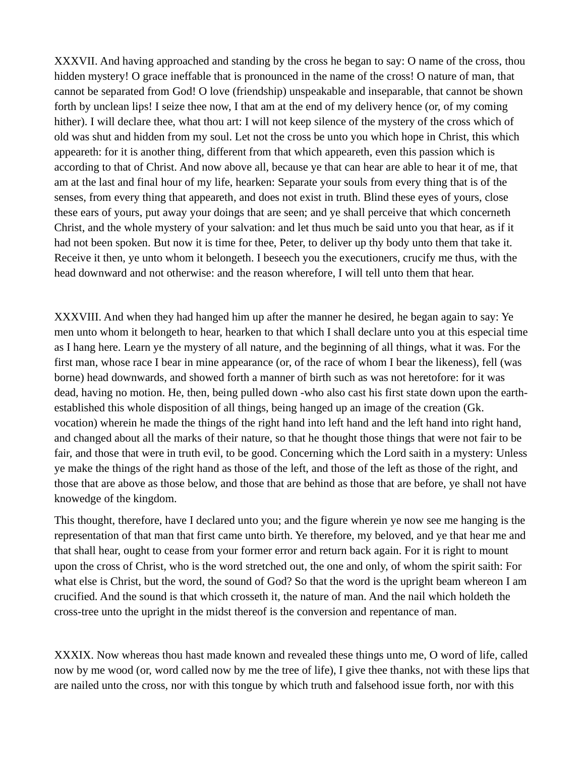XXXVII. And having approached and standing by the cross he began to say: O name of the cross, thou hidden mystery! O grace ineffable that is pronounced in the name of the cross! O nature of man, that cannot be separated from God! O love (friendship) unspeakable and inseparable, that cannot be shown forth by unclean lips! I seize thee now, I that am at the end of my delivery hence (or, of my coming hither). I will declare thee, what thou art: I will not keep silence of the mystery of the cross which of old was shut and hidden from my soul. Let not the cross be unto you which hope in Christ, this which appeareth: for it is another thing, different from that which appeareth, even this passion which is according to that of Christ. And now above all, because ye that can hear are able to hear it of me, that am at the last and final hour of my life, hearken: Separate your souls from every thing that is of the senses, from every thing that appeareth, and does not exist in truth. Blind these eyes of yours, close these ears of yours, put away your doings that are seen; and ye shall perceive that which concerneth Christ, and the whole mystery of your salvation: and let thus much be said unto you that hear, as if it had not been spoken. But now it is time for thee, Peter, to deliver up thy body unto them that take it. Receive it then, ye unto whom it belongeth. I beseech you the executioners, crucify me thus, with the head downward and not otherwise: and the reason wherefore, I will tell unto them that hear.

XXXVIII. And when they had hanged him up after the manner he desired, he began again to say: Ye men unto whom it belongeth to hear, hearken to that which I shall declare unto you at this especial time as I hang here. Learn ye the mystery of all nature, and the beginning of all things, what it was. For the first man, whose race I bear in mine appearance (or, of the race of whom I bear the likeness), fell (was borne) head downwards, and showed forth a manner of birth such as was not heretofore: for it was dead, having no motion. He, then, being pulled down -who also cast his first state down upon the earthestablished this whole disposition of all things, being hanged up an image of the creation (Gk. vocation) wherein he made the things of the right hand into left hand and the left hand into right hand, and changed about all the marks of their nature, so that he thought those things that were not fair to be fair, and those that were in truth evil, to be good. Concerning which the Lord saith in a mystery: Unless ye make the things of the right hand as those of the left, and those of the left as those of the right, and those that are above as those below, and those that are behind as those that are before, ye shall not have knowedge of the kingdom.

This thought, therefore, have I declared unto you; and the figure wherein ye now see me hanging is the representation of that man that first came unto birth. Ye therefore, my beloved, and ye that hear me and that shall hear, ought to cease from your former error and return back again. For it is right to mount upon the cross of Christ, who is the word stretched out, the one and only, of whom the spirit saith: For what else is Christ, but the word, the sound of God? So that the word is the upright beam whereon I am crucified. And the sound is that which crosseth it, the nature of man. And the nail which holdeth the cross-tree unto the upright in the midst thereof is the conversion and repentance of man.

XXXIX. Now whereas thou hast made known and revealed these things unto me, O word of life, called now by me wood (or, word called now by me the tree of life), I give thee thanks, not with these lips that are nailed unto the cross, nor with this tongue by which truth and falsehood issue forth, nor with this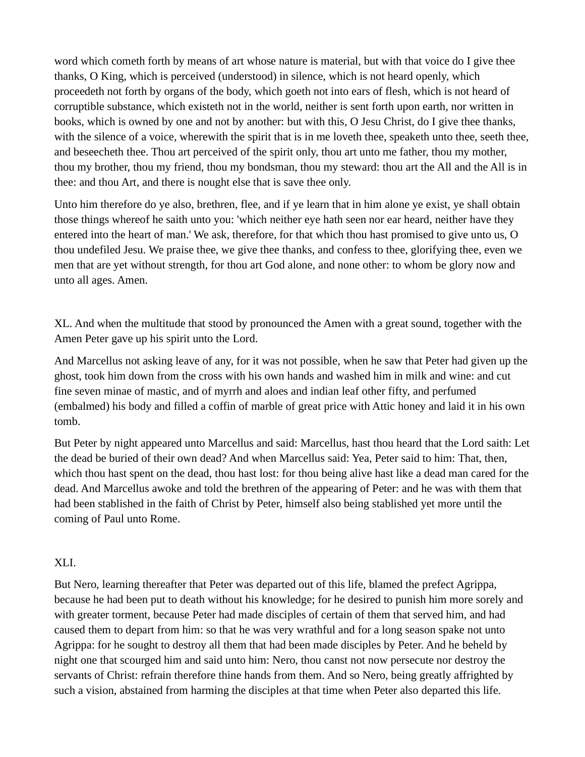word which cometh forth by means of art whose nature is material, but with that voice do I give thee thanks, O King, which is perceived (understood) in silence, which is not heard openly, which proceedeth not forth by organs of the body, which goeth not into ears of flesh, which is not heard of corruptible substance, which existeth not in the world, neither is sent forth upon earth, nor written in books, which is owned by one and not by another: but with this, O Jesu Christ, do I give thee thanks, with the silence of a voice, wherewith the spirit that is in me loveth thee, speaketh unto thee, seeth thee, and beseecheth thee. Thou art perceived of the spirit only, thou art unto me father, thou my mother, thou my brother, thou my friend, thou my bondsman, thou my steward: thou art the All and the All is in thee: and thou Art, and there is nought else that is save thee only.

Unto him therefore do ye also, brethren, flee, and if ye learn that in him alone ye exist, ye shall obtain those things whereof he saith unto you: 'which neither eye hath seen nor ear heard, neither have they entered into the heart of man.' We ask, therefore, for that which thou hast promised to give unto us, O thou undefiled Jesu. We praise thee, we give thee thanks, and confess to thee, glorifying thee, even we men that are yet without strength, for thou art God alone, and none other: to whom be glory now and unto all ages. Amen.

XL. And when the multitude that stood by pronounced the Amen with a great sound, together with the Amen Peter gave up his spirit unto the Lord.

And Marcellus not asking leave of any, for it was not possible, when he saw that Peter had given up the ghost, took him down from the cross with his own hands and washed him in milk and wine: and cut fine seven minae of mastic, and of myrrh and aloes and indian leaf other fifty, and perfumed (embalmed) his body and filled a coffin of marble of great price with Attic honey and laid it in his own tomb.

But Peter by night appeared unto Marcellus and said: Marcellus, hast thou heard that the Lord saith: Let the dead be buried of their own dead? And when Marcellus said: Yea, Peter said to him: That, then, which thou hast spent on the dead, thou hast lost: for thou being alive hast like a dead man cared for the dead. And Marcellus awoke and told the brethren of the appearing of Peter: and he was with them that had been stablished in the faith of Christ by Peter, himself also being stablished yet more until the coming of Paul unto Rome.

## XLI.

But Nero, learning thereafter that Peter was departed out of this life, blamed the prefect Agrippa, because he had been put to death without his knowledge; for he desired to punish him more sorely and with greater torment, because Peter had made disciples of certain of them that served him, and had caused them to depart from him: so that he was very wrathful and for a long season spake not unto Agrippa: for he sought to destroy all them that had been made disciples by Peter. And he beheld by night one that scourged him and said unto him: Nero, thou canst not now persecute nor destroy the servants of Christ: refrain therefore thine hands from them. And so Nero, being greatly affrighted by such a vision, abstained from harming the disciples at that time when Peter also departed this life.